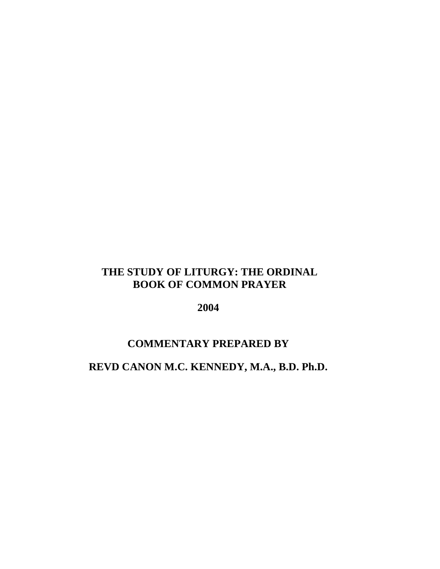# **THE STUDY OF LITURGY: THE ORDINAL BOOK OF COMMON PRAYER**

**2004** 

# **COMMENTARY PREPARED BY**

# **REVD CANON M.C. KENNEDY, M.A., B.D. Ph.D.**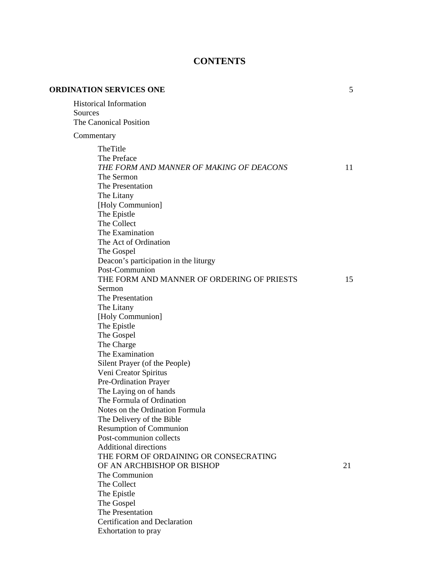# **CONTENTS**

| <b>ORDINATION SERVICES ONE</b>                                                                                                                                                                                                                                                                                                                                                                                | 5  |
|---------------------------------------------------------------------------------------------------------------------------------------------------------------------------------------------------------------------------------------------------------------------------------------------------------------------------------------------------------------------------------------------------------------|----|
| <b>Historical Information</b><br>Sources<br>The Canonical Position                                                                                                                                                                                                                                                                                                                                            |    |
| Commentary                                                                                                                                                                                                                                                                                                                                                                                                    |    |
| TheTitle<br>The Preface<br>THE FORM AND MANNER OF MAKING OF DEACONS<br>The Sermon<br>The Presentation<br>The Litany<br>[Holy Communion]<br>The Epistle                                                                                                                                                                                                                                                        | 11 |
| The Collect<br>The Examination<br>The Act of Ordination<br>The Gospel<br>Deacon's participation in the liturgy<br>Post-Communion                                                                                                                                                                                                                                                                              |    |
| THE FORM AND MANNER OF ORDERING OF PRIESTS<br>Sermon<br>The Presentation<br>The Litany<br>[Holy Communion]<br>The Epistle<br>The Gospel<br>The Charge<br>The Examination<br>Silent Prayer (of the People)<br>Veni Creator Spiritus<br>Pre-Ordination Prayer<br>The Laying on of hands                                                                                                                         | 15 |
| The Formula of Ordination<br>Notes on the Ordination Formula<br>The Delivery of the Bible<br><b>Resumption of Communion</b><br>Post-communion collects<br><b>Additional directions</b><br>THE FORM OF ORDAINING OR CONSECRATING<br>OF AN ARCHBISHOP OR BISHOP<br>The Communion<br>The Collect<br>The Epistle<br>The Gospel<br>The Presentation<br><b>Certification and Declaration</b><br>Exhortation to pray | 21 |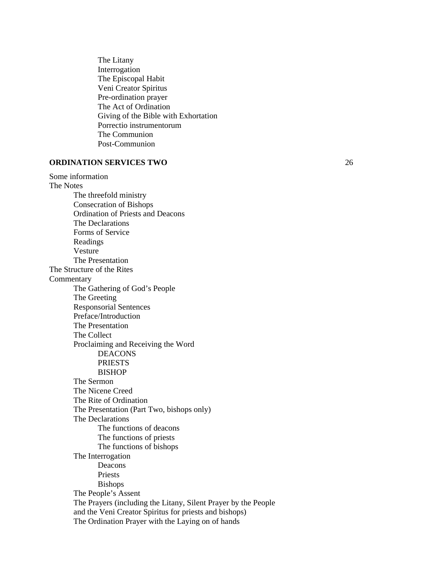The Litany Interrogation The Episcopal Habit Veni Creator Spiritus Pre-ordination prayer The Act of Ordination Giving of the Bible with Exhortation Porrectio instrumentorum The Communion Post-Communion

### **ORDINATION SERVICES TWO** 26

Some information The Notes The threefold ministry Consecration of Bishops Ordination of Priests and Deacons The Declarations Forms of Service Readings Vesture The Presentation The Structure of the Rites Commentary The Gathering of God's People The Greeting Responsorial Sentences Preface/Introduction The Presentation The Collect Proclaiming and Receiving the Word DEACONS PRIESTS BISHOP The Sermon The Nicene Creed The Rite of Ordination The Presentation (Part Two, bishops only) The Declarations The functions of deacons The functions of priests The functions of bishops The Interrogation Deacons Priests Bishops The People's Assent The Prayers (including the Litany, Silent Prayer by the People and the Veni Creator Spiritus for priests and bishops) The Ordination Prayer with the Laying on of hands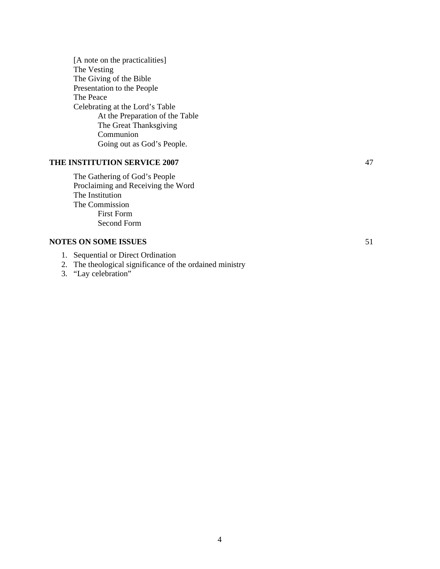[A note on the practicalities] The Vesting The Giving of the Bible Presentation to the People The Peace Celebrating at the Lord's Table At the Preparation of the Table The Great Thanksgiving Communion Going out as God's People.

# **THE INSTITUTION SERVICE 2007** 47

 The Gathering of God's People Proclaiming and Receiving the Word The Institution The Commission First Form Second Form

### **NOTES ON SOME ISSUES** 51

- 1. Sequential or Direct Ordination
- 2. The theological significance of the ordained ministry
- 3. "Lay celebration"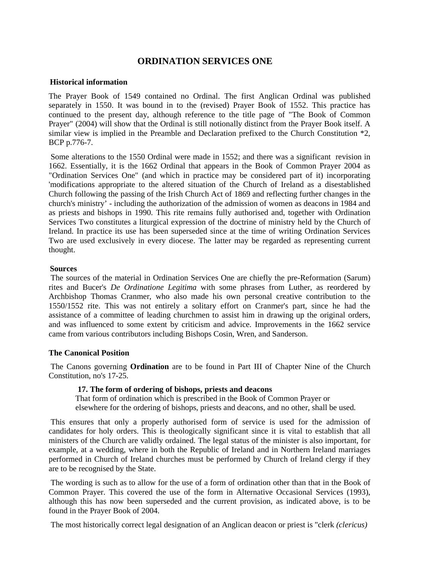# **ORDINATION SERVICES ONE**

#### **Historical information**

The Prayer Book of 1549 contained no Ordinal. The first Anglican Ordinal was published separately in 1550. It was bound in to the (revised) Prayer Book of 1552. This practice has continued to the present day, although reference to the title page of "The Book of Common Prayer" (2004) will show that the Ordinal is still notionally distinct from the Prayer Book itself. A similar view is implied in the Preamble and Declaration prefixed to the Church Constitution \*2, BCP p.776-7.

 Some alterations to the 1550 Ordinal were made in 1552; and there was a significant revision in 1662. Essentially, it is the 1662 Ordinal that appears in the Book of Common Prayer 2004 as "Ordination Services One" (and which in practice may be considered part of it) incorporating 'modifications appropriate to the altered situation of the Church of Ireland as a disestablished Church following the passing of the Irish Church Act of 1869 and reflecting further changes in the church's ministry' - including the authorization of the admission of women as deacons in 1984 and as priests and bishops in 1990. This rite remains fully authorised and, together with Ordination Services Two constitutes a liturgical expression of the doctrine of ministry held by the Church of Ireland. In practice its use has been superseded since at the time of writing Ordination Services Two are used exclusively in every diocese. The latter may be regarded as representing current thought.

#### **Sources**

 The sources of the material in Ordination Services One are chiefly the pre-Reformation (Sarum) rites and Bucer's *De Ordinatione Legitima* with some phrases from Luther, as reordered by Archbishop Thomas Cranmer, who also made his own personal creative contribution to the 1550/1552 rite. This was not entirely a solitary effort on Cranmer's part, since he had the assistance of a committee of leading churchmen to assist him in drawing up the original orders, and was influenced to some extent by criticism and advice. Improvements in the 1662 service came from various contributors including Bishops Cosin, Wren, and Sanderson.

#### **The Canonical Position**

 The Canons governing **Ordination** are to be found in Part III of Chapter Nine of the Church Constitution, no's 17-25.

### **17. The form of ordering of bishops, priests and deacons**

That form of ordination which is prescribed in the Book of Common Prayer or

elsewhere for the ordering of bishops, priests and deacons, and no other, shall be used.

 This ensures that only a properly authorised form of service is used for the admission of candidates for holy orders. This is theologically significant since it is vital to establish that all ministers of the Church are validly ordained. The legal status of the minister is also important, for example, at a wedding, where in both the Republic of Ireland and in Northern Ireland marriages performed in Church of Ireland churches must be performed by Church of Ireland clergy if they are to be recognised by the State.

 The wording is such as to allow for the use of a form of ordination other than that in the Book of Common Prayer. This covered the use of the form in Alternative Occasional Services (1993), although this has now been superseded and the current provision, as indicated above, is to be found in the Prayer Book of 2004.

The most historically correct legal designation of an Anglican deacon or priest is "clerk *(clericus)*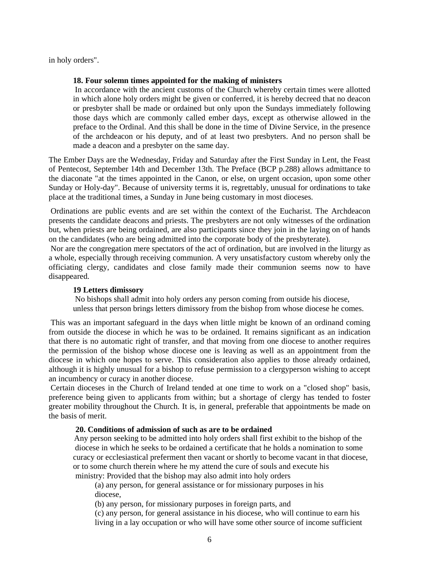in holy orders".

### **18. Four solemn times appointed for the making of ministers**

 In accordance with the ancient customs of the Church whereby certain times were allotted in which alone holy orders might be given or conferred, it is hereby decreed that no deacon or presbyter shall be made or ordained but only upon the Sundays immediately following those days which are commonly called ember days, except as otherwise allowed in the preface to the Ordinal. And this shall be done in the time of Divine Service, in the presence of the archdeacon or his deputy, and of at least two presbyters. And no person shall be made a deacon and a presbyter on the same day.

The Ember Days are the Wednesday, Friday and Saturday after the First Sunday in Lent, the Feast of Pentecost, September 14th and December 13th. The Preface (BCP p.288) allows admittance to the diaconate "at the times appointed in the Canon, or else, on urgent occasion, upon some other Sunday or Holy-day". Because of university terms it is, regrettably, unusual for ordinations to take place at the traditional times, a Sunday in June being customary in most dioceses.

 Ordinations are public events and are set within the context of the Eucharist. The Archdeacon presents the candidate deacons and priests. The presbyters are not only witnesses of the ordination but, when priests are being ordained, are also participants since they join in the laying on of hands on the candidates (who are being admitted into the corporate body of the presbyterate).

 Nor are the congregation mere spectators of the act of ordination, but are involved in the liturgy as a whole, especially through receiving communion. A very unsatisfactory custom whereby only the officiating clergy, candidates and close family made their communion seems now to have disappeared.

# **19 Letters dimissory**

 No bishops shall admit into holy orders any person coming from outside his diocese, unless that person brings letters dimissory from the bishop from whose diocese he comes.

 This was an important safeguard in the days when little might be known of an ordinand coming from outside the diocese in which he was to be ordained. It remains significant as an indication that there is no automatic right of transfer, and that moving from one diocese to another requires the permission of the bishop whose diocese one is leaving as well as an appointment from the diocese in which one hopes to serve. This consideration also applies to those already ordained, although it is highly unusual for a bishop to refuse permission to a clergyperson wishing to accept an incumbency or curacy in another diocese.

 Certain dioceses in the Church of Ireland tended at one time to work on a "closed shop" basis, preference being given to applicants from within; but a shortage of clergy has tended to foster greater mobility throughout the Church. It is, in general, preferable that appointments be made on the basis of merit.

### **20. Conditions of admission of such as are to be ordained**

Any person seeking to be admitted into holy orders shall first exhibit to the bishop of the diocese in which he seeks to be ordained a certificate that he holds a nomination to some curacy or ecclesiastical preferment then vacant or shortly to become vacant in that diocese, or to some church therein where he my attend the cure of souls and execute his ministry: Provided that the bishop may also admit into holy orders

(a) any person, for general assistance or for missionary purposes in his diocese,

(b) any person, for missionary purposes in foreign parts, and

(c) any person, for general assistance in his diocese, who will continue to earn his living in a lay occupation or who will have some other source of income sufficient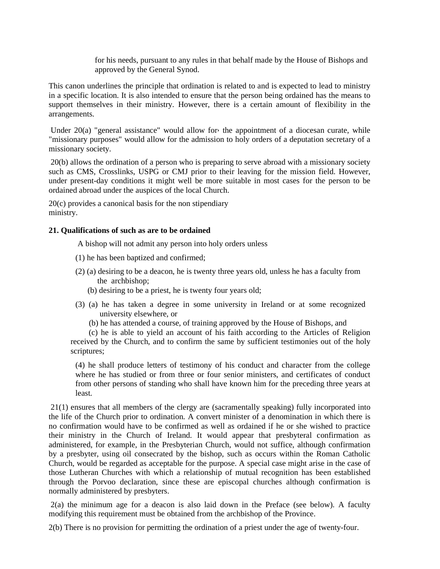for his needs, pursuant to any rules in that behalf made by the House of Bishops and approved by the General Synod.

This canon underlines the principle that ordination is related to and is expected to lead to ministry in a specific location. It is also intended to ensure that the person being ordained has the means to support themselves in their ministry. However, there is a certain amount of flexibility in the arrangements.

Under 20(a) "general assistance" would allow for the appointment of a diocesan curate, while "missionary purposes" would allow for the admission to holy orders of a deputation secretary of a missionary society.

 20(b) allows the ordination of a person who is preparing to serve abroad with a missionary society such as CMS, Crosslinks, USPG or CMJ prior to their leaving for the mission field. However, under present-day conditions it might well be more suitable in most cases for the person to be ordained abroad under the auspices of the local Church.

20(c) provides a canonical basis for the non stipendiary ministry.

### **21. Qualifications of such as are to be ordained**

A bishop will not admit any person into holy orders unless

- (1) he has been baptized and confirmed;
- (2) (a) desiring to be a deacon, he is twenty three years old, unless he has a faculty from the archbishop;
	- (b) desiring to be a priest, he is twenty four years old;
- (3) (a) he has taken a degree in some university in Ireland or at some recognized university elsewhere, or
	- (b) he has attended a course, of training approved by the House of Bishops, and

 (c) he is able to yield an account of his faith according to the Articles of Religion received by the Church, and to confirm the same by sufficient testimonies out of the holy scriptures;

(4) he shall produce letters of testimony of his conduct and character from the college where he has studied or from three or four senior ministers, and certificates of conduct from other persons of standing who shall have known him for the preceding three years at least.

 21(1) ensures that all members of the clergy are (sacramentally speaking) fully incorporated into the life of the Church prior to ordination. A convert minister of a denomination in which there is no confirmation would have to be confirmed as well as ordained if he or she wished to practice their ministry in the Church of Ireland. It would appear that presbyteral confirmation as administered, for example, in the Presbyterian Church, would not suffice, although confirmation by a presbyter, using oil consecrated by the bishop, such as occurs within the Roman Catholic Church, would be regarded as acceptable for the purpose. A special case might arise in the case of those Lutheran Churches with which a relationship of mutual recognition has been established through the Porvoo declaration, since these are episcopal churches although confirmation is normally administered by presbyters.

 2(a) the minimum age for a deacon is also laid down in the Preface (see below). A faculty modifying this requirement must be obtained from the archbishop of the Province.

2(b) There is no provision for permitting the ordination of a priest under the age of twenty-four.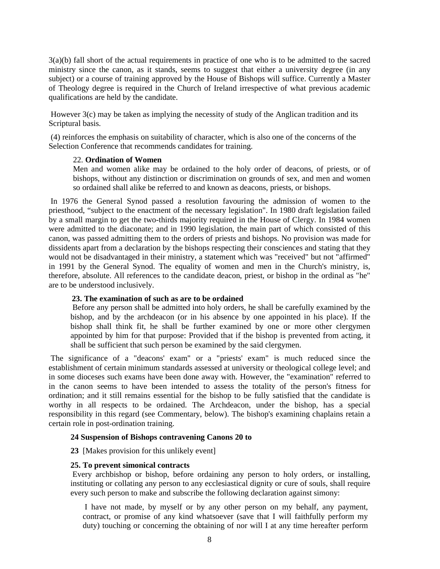3(a)(b) fall short of the actual requirements in practice of one who is to be admitted to the sacred ministry since the canon, as it stands, seems to suggest that either a university degree (in any subject) or a course of training approved by the House of Bishops will suffice. Currently a Master of Theology degree is required in the Church of Ireland irrespective of what previous academic qualifications are held by the candidate.

 However 3(c) may be taken as implying the necessity of study of the Anglican tradition and its Scriptural basis.

 (4) reinforces the emphasis on suitability of character, which is also one of the concerns of the Selection Conference that recommends candidates for training.

#### 22. **Ordination of Women**

Men and women alike may be ordained to the holy order of deacons, of priests, or of bishops, without any distinction or discrimination on grounds of sex, and men and women so ordained shall alike be referred to and known as deacons, priests, or bishops.

 In 1976 the General Synod passed a resolution favouring the admission of women to the priesthood, "subject to the enactment of the necessary legislation". In 1980 draft legislation failed by a small margin to get the two-thirds majority required in the House of Clergy. In 1984 women were admitted to the diaconate; and in 1990 legislation, the main part of which consisted of this canon, was passed admitting them to the orders of priests and bishops. No provision was made for dissidents apart from a declaration by the bishops respecting their consciences and stating that they would not be disadvantaged in their ministry, a statement which was "received" but not "affirmed" in 1991 by the General Synod. The equality of women and men in the Church's ministry, is, therefore, absolute. All references to the candidate deacon, priest, or bishop in the ordinal as "he" are to be understood inclusively.

#### **23. The examination of such as are to be ordained**

 Before any person shall be admitted into holy orders, he shall be carefully examined by the bishop, and by the archdeacon (or in his absence by one appointed in his place). If the bishop shall think fit, he shall be further examined by one or more other clergymen appointed by him for that purpose: Provided that if the bishop is prevented from acting, it shall be sufficient that such person be examined by the said clergymen.

 The significance of a "deacons' exam" or a "priests' exam" is much reduced since the establishment of certain minimum standards assessed at university or theological college level; and in some dioceses such exams have been done away with. However, the "examination" referred to in the canon seems to have been intended to assess the totality of the person's fitness for ordination; and it still remains essential for the bishop to be fully satisfied that the candidate is worthy in all respects to be ordained. The Archdeacon, under the bishop, has a special responsibility in this regard (see Commentary, below). The bishop's examining chaplains retain a certain role in post-ordination training.

#### **24 Suspension of Bishops contravening Canons 20 to**

**23** [Makes provision for this unlikely event]

#### **25. To prevent simonical contracts**

 Every archbishop or bishop, before ordaining any person to holy orders, or installing, instituting or collating any person to any ecclesiastical dignity or cure of souls, shall require every such person to make and subscribe the following declaration against simony:

 I have not made, by myself or by any other person on my behalf, any payment, contract, or promise of any kind whatsoever (save that I will faithfully perform my duty) touching or concerning the obtaining of nor will I at any time hereafter perform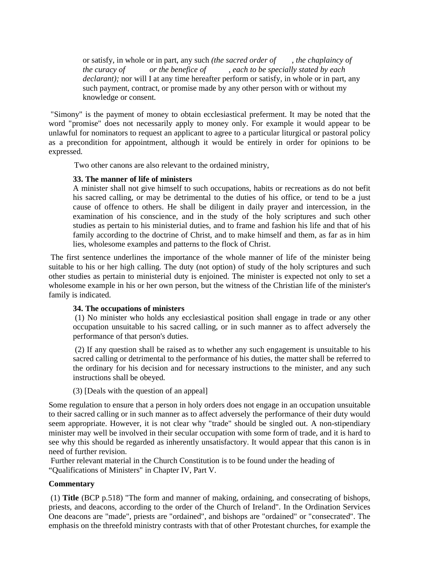or satisfy, in whole or in part, any such *(the sacred order of , the chaplaincy of the curacy of or the benefice of , each to be specially stated by each declarant);* nor will I at any time hereafter perform or satisfy, in whole or in part, any such payment, contract, or promise made by any other person with or without my knowledge or consent.

 "Simony" is the payment of money to obtain ecclesiastical preferment. It may be noted that the word "promise" does not necessarily apply to money only. For example it would appear to be unlawful for nominators to request an applicant to agree to a particular liturgical or pastoral policy as a precondition for appointment, although it would be entirely in order for opinions to be expressed.

Two other canons are also relevant to the ordained ministry,

### **33. The manner of life of ministers**

A minister shall not give himself to such occupations, habits or recreations as do not befit his sacred calling, or may be detrimental to the duties of his office, or tend to be a just cause of offence to others. He shall be diligent in daily prayer and intercession, in the examination of his conscience, and in the study of the holy scriptures and such other studies as pertain to his ministerial duties, and to frame and fashion his life and that of his family according to the doctrine of Christ, and to make himself and them, as far as in him lies, wholesome examples and patterns to the flock of Christ.

 The first sentence underlines the importance of the whole manner of life of the minister being suitable to his or her high calling. The duty (not option) of study of the holy scriptures and such other studies as pertain to ministerial duty is enjoined. The minister is expected not only to set a wholesome example in his or her own person, but the witness of the Christian life of the minister's family is indicated.

### **34. The occupations of ministers**

 (1) No minister who holds any ecclesiastical position shall engage in trade or any other occupation unsuitable to his sacred calling, or in such manner as to affect adversely the performance of that person's duties.

 (2) If any question shall be raised as to whether any such engagement is unsuitable to his sacred calling or detrimental to the performance of his duties, the matter shall be referred to the ordinary for his decision and for necessary instructions to the minister, and any such instructions shall be obeyed.

(3) [Deals with the question of an appeal]

Some regulation to ensure that a person in holy orders does not engage in an occupation unsuitable to their sacred calling or in such manner as to affect adversely the performance of their duty would seem appropriate. However, it is not clear why "trade" should be singled out. A non-stipendiary minister may well be involved in their secular occupation with some form of trade, and it is hard to see why this should be regarded as inherently unsatisfactory. It would appear that this canon is in need of further revision.

 Further relevant material in the Church Constitution is to be found under the heading of "Qualifications of Ministers" in Chapter IV, Part V.

# **Commentary**

 (1) **Title** (BCP p.518) "The form and manner of making, ordaining, and consecrating of bishops, priests, and deacons, according to the order of the Church of Ireland". In the Ordination Services One deacons are "made", priests are "ordained", and bishops are "ordained" or "consecrated". The emphasis on the threefold ministry contrasts with that of other Protestant churches, for example the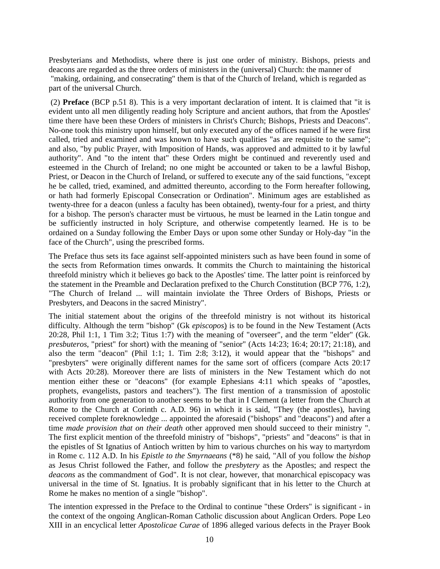Presbyterians and Methodists, where there is just one order of ministry. Bishops, priests and deacons are regarded as the three orders of ministers in the (universal) Church: the manner of "making, ordaining, and consecrating" them is that of the Church of Ireland, which is regarded as part of the universal Church.

 (2) **Preface** (BCP p.51 8). This is a very important declaration of intent. It is claimed that "it is evident unto all men diligently reading holy Scripture and ancient authors, that from the Apostles' time there have been these Orders of ministers in Christ's Church; Bishops, Priests and Deacons". No-one took this ministry upon himself, but only executed any of the offices named if he were first called, tried and examined and was known to have such qualities "as are requisite to the same"; and also, "by public Prayer, with Imposition of Hands, was approved and admitted to it by lawful authority". And "to the intent that" these Orders might be continued and reverently used and esteemed in the Church of Ireland; no one might be accounted or taken to be a lawful Bishop, Priest, or Deacon in the Church of Ireland, or suffered to execute any of the said functions, "except he be called, tried, examined, and admitted thereunto, according to the Form hereafter following, or hath had formerly Episcopal Consecration or Ordination". Minimum ages are established as twenty-three for a deacon (unless a faculty has been obtained), twenty-four for a priest, and thirty for a bishop. The person's character must be virtuous, he must be learned in the Latin tongue and be sufficiently instructed in holy Scripture, and otherwise competently learned. He is to be ordained on a Sunday following the Ember Days or upon some other Sunday or Holy-day "in the face of the Church", using the prescribed forms.

The Preface thus sets its face against self-appointed ministers such as have been found in some of the sects from Reformation times onwards. It commits the Church to maintaining the historical threefold ministry which it believes go back to the Apostles' time. The latter point is reinforced by the statement in the Preamble and Declaration prefixed to the Church Constitution (BCP 776, 1:2), "The Church of Ireland ... will maintain inviolate the Three Orders of Bishops, Priests or Presbyters, and Deacons in the sacred Ministry".

The initial statement about the origins of the threefold ministry is not without its historical difficulty. Although the term "bishop" (Gk *episcopos*) is to be found in the New Testament (Acts 20:28, Phil 1:1, 1 Tim 3:2; Titus 1:7) with the meaning of "overseer", and the term "elder" (Gk. *presbuteros*, "priest" for short) with the meaning of "senior" (Acts 14:23; 16:4; 20:17; 21:18), and also the term "deacon" (Phil 1:1; 1. Tim 2:8; 3:12), it would appear that the "bishops" and "presbyters" were originally different names for the same sort of officers (compare Acts 20:17 with Acts 20:28). Moreover there are lists of ministers in the New Testament which do not mention either these or "deacons" (for example Ephesians 4:11 which speaks of "apostles, prophets, evangelists, pastors and teachers"). The first mention of a transmission of apostolic authority from one generation to another seems to be that in I Clement (a letter from the Church at Rome to the Church at Corinth c. A.D. 96) in which it is said, "They (the apostles), having received complete foreknowledge ... appointed the aforesaid ("bishops" and "deacons") and after a time *made provision that on their death* other approved men should succeed to their ministry ". The first explicit mention of the threefold ministry of "bishops", "priests" and "deacons" is that in the epistles of St Ignatius of Antioch written by him to various churches on his way to martyrdom in Rome c. 112 A.D. In his *Epistle to the Smyrnaeans* (\*8) he said, "All of you follow the *bishop* as Jesus Christ followed the Father, and follow the *presbytery* as the Apostles; and respect the *deacons* as the commandment of God". It is not clear, however, that monarchical episcopacy was universal in the time of St. Ignatius. It is probably significant that in his letter to the Church at Rome he makes no mention of a single "bishop".

The intention expressed in the Preface to the Ordinal to continue "these Orders" is significant - in the context of the ongoing Anglican-Roman Catholic discussion about Anglican Orders. Pope Leo XIII in an encyclical letter *Apostolicae Curae* of 1896 alleged various defects in the Prayer Book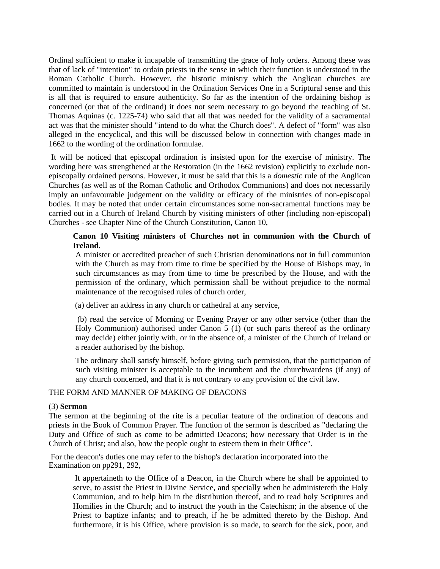Ordinal sufficient to make it incapable of transmitting the grace of holy orders. Among these was that of lack of "intention" to ordain priests in the sense in which their function is understood in the Roman Catholic Church. However, the historic ministry which the Anglican churches are committed to maintain is understood in the Ordination Services One in a Scriptural sense and this is all that is required to ensure authenticity. So far as the intention of the ordaining bishop is concerned (or that of the ordinand) it does not seem necessary to go beyond the teaching of St. Thomas Aquinas (c. 1225-74) who said that all that was needed for the validity of a sacramental act was that the minister should "intend to do what the Church does". A defect of "form" was also alleged in the encyclical, and this will be discussed below in connection with changes made in 1662 to the wording of the ordination formulae.

It will be noticed that episcopal ordination is insisted upon for the exercise of ministry. The wording here was strengthened at the Restoration (in the 1662 revision) explicitly to exclude nonepiscopally ordained persons. However, it must be said that this is a *domestic* rule of the Anglican Churches (as well as of the Roman Catholic and Orthodox Communions) and does not necessarily imply an unfavourable judgement on the validity or efficacy of the ministries of non-episcopal bodies. It may be noted that under certain circumstances some non-sacramental functions may be carried out in a Church of Ireland Church by visiting ministers of other (including non-episcopal) Churches - see Chapter Nine of the Church Constitution, Canon 10,

### **Canon 10 Visiting ministers of Churches not in communion with the Church of Ireland.**

A minister or accredited preacher of such Christian denominations not in full communion with the Church as may from time to time be specified by the House of Bishops may, in such circumstances as may from time to time be prescribed by the House, and with the permission of the ordinary, which permission shall be without prejudice to the normal maintenance of the recognised rules of church order,

(a) deliver an address in any church or cathedral at any service,

 (b) read the service of Morning or Evening Prayer or any other service (other than the Holy Communion) authorised under Canon 5 (1) (or such parts thereof as the ordinary may decide) either jointly with, or in the absence of, a minister of the Church of Ireland or a reader authorised by the bishop.

The ordinary shall satisfy himself, before giving such permission, that the participation of such visiting minister is acceptable to the incumbent and the churchwardens (if any) of any church concerned, and that it is not contrary to any provision of the civil law.

#### THE FORM AND MANNER OF MAKING OF DEACONS

#### (3) **Sermon**

The sermon at the beginning of the rite is a peculiar feature of the ordination of deacons and priests in the Book of Common Prayer. The function of the sermon is described as "declaring the Duty and Office of such as come to be admitted Deacons; how necessary that Order is in the Church of Christ; and also, how the people ought to esteem them in their Office".

 For the deacon's duties one may refer to the bishop's declaration incorporated into the Examination on pp291, 292,

 It appertaineth to the Office of a Deacon, in the Church where he shall be appointed to serve, to assist the Priest in Divine Service, and specially when he administereth the Holy Communion, and to help him in the distribution thereof, and to read holy Scriptures and Homilies in the Church; and to instruct the youth in the Catechism; in the absence of the Priest to baptize infants; and to preach, if he be admitted thereto by the Bishop. And furthermore, it is his Office, where provision is so made, to search for the sick, poor, and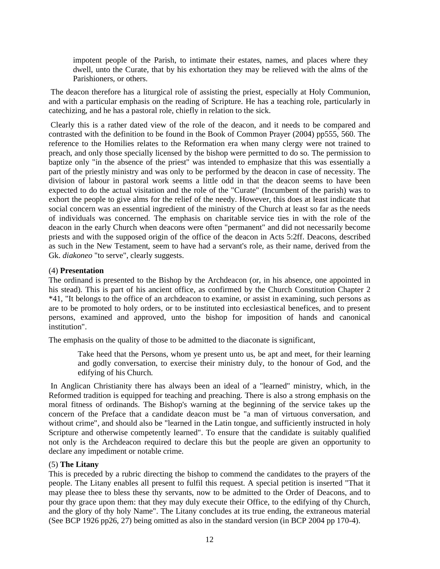impotent people of the Parish, to intimate their estates, names, and places where they dwell, unto the Curate, that by his exhortation they may be relieved with the alms of the Parishioners, or others.

 The deacon therefore has a liturgical role of assisting the priest, especially at Holy Communion, and with a particular emphasis on the reading of Scripture. He has a teaching role, particularly in catechizing, and he has a pastoral role, chiefly in relation to the sick.

 Clearly this is a rather dated view of the role of the deacon, and it needs to be compared and contrasted with the definition to be found in the Book of Common Prayer (2004) pp555, 560. The reference to the Homilies relates to the Reformation era when many clergy were not trained to preach, and only those specially licensed by the bishop were permitted to do so. The permission to baptize only "in the absence of the priest" was intended to emphasize that this was essentially a part of the priestly ministry and was only to be performed by the deacon in case of necessity. The division of labour in pastoral work seems a little odd in that the deacon seems to have been expected to do the actual visitation and the role of the "Curate" (Incumbent of the parish) was to exhort the people to give alms for the relief of the needy. However, this does at least indicate that social concern was an essential ingredient of the ministry of the Church at least so far as the needs of individuals was concerned. The emphasis on charitable service ties in with the role of the deacon in the early Church when deacons were often "permanent" and did not necessarily become priests and with the supposed origin of the office of the deacon in Acts 5:2ff. Deacons, described as such in the New Testament, seem to have had a servant's role, as their name, derived from the Gk. *diakoneo* "to serve", clearly suggests.

### (4) **Presentation**

The ordinand is presented to the Bishop by the Archdeacon (or, in his absence, one appointed in his stead). This is part of his ancient office, as confirmed by the Church Constitution Chapter 2 \*41, "It belongs to the office of an archdeacon to examine, or assist in examining, such persons as are to be promoted to holy orders, or to be instituted into ecclesiastical benefices, and to present persons, examined and approved, unto the bishop for imposition of hands and canonical institution".

The emphasis on the quality of those to be admitted to the diaconate is significant,

Take heed that the Persons, whom ye present unto us, be apt and meet, for their learning and godly conversation, to exercise their ministry duly, to the honour of God, and the edifying of his Church.

 In Anglican Christianity there has always been an ideal of a "learned" ministry, which, in the Reformed tradition is equipped for teaching and preaching. There is also a strong emphasis on the moral fitness of ordinands. The Bishop's warning at the beginning of the service takes up the concern of the Preface that a candidate deacon must be "a man of virtuous conversation, and without crime", and should also be "learned in the Latin tongue, and sufficiently instructed in holy Scripture and otherwise competently learned". To ensure that the candidate is suitably qualified not only is the Archdeacon required to declare this but the people are given an opportunity to declare any impediment or notable crime.

# (5) **The Litany**

This is preceded by a rubric directing the bishop to commend the candidates to the prayers of the people. The Litany enables all present to fulfil this request. A special petition is inserted "That it may please thee to bless these thy servants, now to be admitted to the Order of Deacons, and to pour thy grace upon them: that they may duly execute their Office, to the edifying of thy Church, and the glory of thy holy Name". The Litany concludes at its true ending, the extraneous material (See BCP 1926 pp26, 27) being omitted as also in the standard version (in BCP 2004 pp 170-4).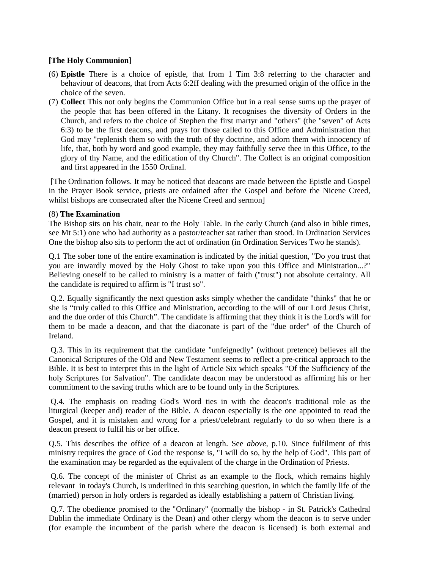### **[The Holy Communion]**

- (6) **Epistle** There is a choice of epistle, that from 1 Tim 3:8 referring to the character and behaviour of deacons, that from Acts 6:2ff dealing with the presumed origin of the office in the choice of the seven.
- (7) **Collect** This not only begins the Communion Office but in a real sense sums up the prayer of the people that has been offered in the Litany. It recognises the diversity of Orders in the Church, and refers to the choice of Stephen the first martyr and "others" (the "seven" of Acts 6:3) to be the first deacons, and prays for those called to this Office and Administration that God may "replenish them so with the truth of thy doctrine, and adorn them with innocency of life, that, both by word and good example, they may faithfully serve thee in this Office, to the glory of thy Name, and the edification of thy Church". The Collect is an original composition and first appeared in the 1550 Ordinal.

 [The Ordination follows. It may be noticed that deacons are made between the Epistle and Gospel in the Prayer Book service, priests are ordained after the Gospel and before the Nicene Creed, whilst bishops are consecrated after the Nicene Creed and sermon]

### (8) **The Examination**

The Bishop sits on his chair, near to the Holy Table. In the early Church (and also in bible times, see Mt 5:1) one who had authority as a pastor/teacher sat rather than stood. In Ordination Services One the bishop also sits to perform the act of ordination (in Ordination Services Two he stands).

Q.1 The sober tone of the entire examination is indicated by the initial question, "Do you trust that you are inwardly moved by the Holy Ghost to take upon you this Office and Ministration...?" Believing oneself to be called to ministry is a matter of faith ("trust") not absolute certainty. All the candidate is required to affirm is "I trust so".

 Q.2. Equally significantly the next question asks simply whether the candidate "thinks" that he or she is "truly called to this Office and Ministration, according to the will of our Lord Jesus Christ, and the due order of this Church". The candidate is affirming that they think it is the Lord's will for them to be made a deacon, and that the diaconate is part of the "due order" of the Church of Ireland.

 Q.3. This in its requirement that the candidate "unfeignedly" (without pretence) believes all the Canonical Scriptures of the Old and New Testament seems to reflect a pre-critical approach to the Bible. It is best to interpret this in the light of Article Six which speaks "Of the Sufficiency of the holy Scriptures for Salvation". The candidate deacon may be understood as affirming his or her commitment to the saving truths which are to be found only in the Scriptures.

 Q.4. The emphasis on reading God's Word ties in with the deacon's traditional role as the liturgical (keeper and) reader of the Bible. A deacon especially is the one appointed to read the Gospel, and it is mistaken and wrong for a priest/celebrant regularly to do so when there is a deacon present to fulfil his or her office.

Q.5. This describes the office of a deacon at length. See *above,* p.10. Since fulfilment of this ministry requires the grace of God the response is, "I will do so, by the help of God". This part of the examination may be regarded as the equivalent of the charge in the Ordination of Priests.

 Q.6. The concept of the minister of Christ as an example to the flock, which remains highly relevant in today's Church, is underlined in this searching question, in which the family life of the (married) person in holy orders is regarded as ideally establishing a pattern of Christian living.

 Q.7. The obedience promised to the "Ordinary" (normally the bishop - in St. Patrick's Cathedral Dublin the immediate Ordinary is the Dean) and other clergy whom the deacon is to serve under (for example the incumbent of the parish where the deacon is licensed) is both external and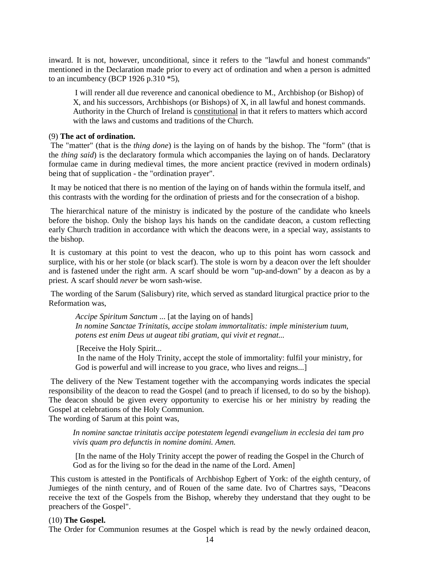inward. It is not, however, unconditional, since it refers to the "lawful and honest commands" mentioned in the Declaration made prior to every act of ordination and when a person is admitted to an incumbency (BCP 1926 p.310  $*5$ ),

 I will render all due reverence and canonical obedience to M., Archbishop (or Bishop) of X, and his successors, Archbishops (or Bishops) of X, in all lawful and honest commands. Authority in the Church of Ireland is constitutional in that it refers to matters which accord with the laws and customs and traditions of the Church.

#### (9) **The act of ordination.**

 The "matter" (that is the *thing done*) is the laying on of hands by the bishop. The "form" (that is the *thing said*) is the declaratory formula which accompanies the laying on of hands. Declaratory formulae came in during medieval times, the more ancient practice (revived in modern ordinals) being that of supplication - the "ordination prayer".

 It may be noticed that there is no mention of the laying on of hands within the formula itself, and this contrasts with the wording for the ordination of priests and for the consecration of a bishop.

 The hierarchical nature of the ministry is indicated by the posture of the candidate who kneels before the bishop. Only the bishop lays his hands on the candidate deacon, a custom reflecting early Church tradition in accordance with which the deacons were, in a special way, assistants to the bishop.

 It is customary at this point to vest the deacon, who up to this point has worn cassock and surplice, with his or her stole (or black scarf). The stole is worn by a deacon over the left shoulder and is fastened under the right arm. A scarf should be worn "up-and-down" by a deacon as by a priest. A scarf should *never* be worn sash-wise.

 The wording of the Sarum (Salisbury) rite, which served as standard liturgical practice prior to the Reformation was,

*Accipe Spiritum Sanctum* ... [at the laying on of hands] *In nomine Sanctae Trinitatis, accipe stolam immortalitatis: imple ministerium tuum, potens est enim Deus ut augeat tibi gratiam, qui vivit et regnat...* 

[Receive the Holy Spirit...]

 In the name of the Holy Trinity, accept the stole of immortality: fulfil your ministry, for God is powerful and will increase to you grace, who lives and reigns...]

 The delivery of the New Testament together with the accompanying words indicates the special responsibility of the deacon to read the Gospel (and to preach if licensed, to do so by the bishop). The deacon should be given every opportunity to exercise his or her ministry by reading the Gospel at celebrations of the Holy Communion.

The wording of Sarum at this point was,

*In nomine sanctae trinitatis accipe potestatem legendi evangelium in ecclesia dei tam pro vivis quam pro defunctis in nomine domini. Amen.* 

[In the name of the Holy Trinity accept the power of reading the Gospel in the Church of God as for the living so for the dead in the name of the Lord. Amen]

 This custom is attested in the Pontificals of Archbishop Egbert of York: of the eighth century, of Jumieges of the ninth century, and of Rouen of the same date. Ivo of Chartres says, "Deacons receive the text of the Gospels from the Bishop, whereby they understand that they ought to be preachers of the Gospel".

#### (10) **The Gospel.**

The Order for Communion resumes at the Gospel which is read by the newly ordained deacon,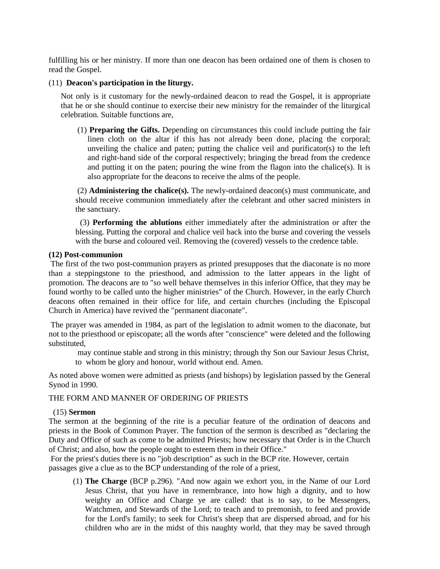fulfilling his or her ministry. If more than one deacon has been ordained one of them is chosen to read the Gospel.

#### (11) **Deacon's participation in the liturgy.**

 Not only is it customary for the newly-ordained deacon to read the Gospel, it is appropriate that he or she should continue to exercise their new ministry for the remainder of the liturgical celebration. Suitable functions are,

 (1) **Preparing the Gifts.** Depending on circumstances this could include putting the fair linen cloth on the altar if this has not already been done, placing the corporal; unveiling the chalice and paten; putting the chalice veil and purificator(s) to the left and right-hand side of the corporal respectively; bringing the bread from the credence and putting it on the paten; pouring the wine from the flagon into the chalice(s). It is also appropriate for the deacons to receive the alms of the people.

 (2) **Administering the chalice(s).** The newly-ordained deacon(s) must communicate, and should receive communion immediately after the celebrant and other sacred ministers in the sanctuary.

 (3) **Performing the ablutions** either immediately after the administration or after the blessing. Putting the corporal and chalice veil back into the burse and covering the vessels with the burse and coloured veil. Removing the (covered) vessels to the credence table.

#### **(12) Post-communion**

 The first of the two post-communion prayers as printed presupposes that the diaconate is no more than a steppingstone to the priesthood, and admission to the latter appears in the light of promotion. The deacons are to "so well behave themselves in this inferior Office, that they may be found worthy to be called unto the higher ministries" of the Church. However, in the early Church deacons often remained in their office for life, and certain churches (including the Episcopal Church in America) have revived the "permanent diaconate".

 The prayer was amended in 1984, as part of the legislation to admit women to the diaconate, but not to the priesthood or episcopate; all the words after "conscience" were deleted and the following substituted,

 may continue stable and strong in this ministry; through thy Son our Saviour Jesus Christ, to whom be glory and honour, world without end. Amen.

As noted above women were admitted as priests (and bishops) by legislation passed by the General Synod in 1990.

#### THE FORM AND MANNER OF ORDERING OF PRIESTS

#### (15) **Sermon**

The sermon at the beginning of the rite is a peculiar feature of the ordination of deacons and priests in the Book of Common Prayer. The function of the sermon is described as "declaring the Duty and Office of such as come to be admitted Priests; how necessary that Order is in the Church of Christ; and also, how the people ought to esteem them in their Office."

 For the priest's duties there is no "job description" as such in the BCP rite. However, certain passages give a clue as to the BCP understanding of the role of a priest,

(1) **The Charge** (BCP p.296). "And now again we exhort you, in the Name of our Lord Jesus Christ, that you have in remembrance, into how high a dignity, and to how weighty an Office and Charge ye are called: that is to say, to be Messengers, Watchmen, and Stewards of the Lord; to teach and to premonish, to feed and provide for the Lord's family; to seek for Christ's sheep that are dispersed abroad, and for his children who are in the midst of this naughty world, that they may be saved through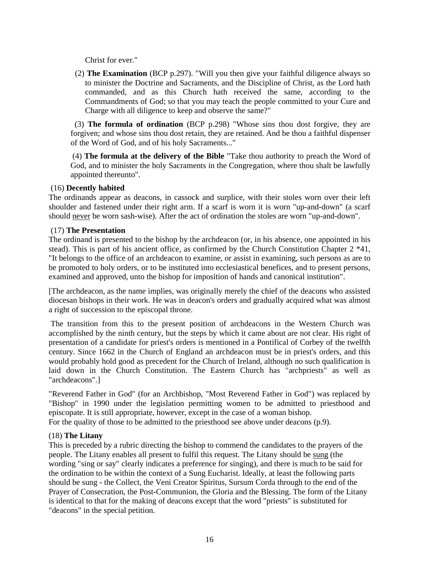Christ for ever."

 (2) **The Examination** (BCP p.297). "Will you then give your faithful diligence always so to minister the Doctrine and Sacraments, and the Discipline of Christ, as the Lord hath commanded, and as this Church hath received the same, according to the Commandments of God; so that you may teach the people committed to your Cure and Charge with all diligence to keep and observe the same?"

 (3) **The formula of ordination** (BCP p.298) "Whose sins thou dost forgive, they are forgiven; and whose sins thou dost retain, they are retained. And be thou a faithful dispenser of the Word of God, and of his holy Sacraments..."

 (4) **The formula at the delivery of the Bible** "Take thou authority to preach the Word of God, and to minister the holy Sacraments in the Congregation, where thou shalt be lawfully appointed thereunto".

### (16) **Decently habited**

The ordinands appear as deacons, in cassock and surplice, with their stoles worn over their left shoulder and fastened under their right arm. If a scarf is worn it is worn "up-and-down" (a scarf should never be worn sash-wise). After the act of ordination the stoles are worn "up-and-down".

### (17) **The Presentation**

The ordinand is presented to the bishop by the archdeacon (or, in his absence, one appointed in his stead). This is part of his ancient office, as confirmed by the Church Constitution Chapter 2 \*41, "It belongs to the office of an archdeacon to examine, or assist in examining, such persons as are to be promoted to holy orders, or to be instituted into ecclesiastical benefices, and to present persons, examined and approved, unto the bishop for imposition of hands and canonical institution".

[The archdeacon, as the name implies, was originally merely the chief of the deacons who assisted diocesan bishops in their work. He was in deacon's orders and gradually acquired what was almost a right of succession to the episcopal throne.

 The transition from this to the present position of archdeacons in the Western Church was accomplished by the ninth century, but the steps by which it came about are not clear. His right of presentation of a candidate for priest's orders is mentioned in a Pontifical of Corbey of the twelfth century. Since 1662 in the Church of England an archdeacon must be in priest's orders, and this would probably hold good as precedent for the Church of Ireland, although no such qualification is laid down in the Church Constitution. The Eastern Church has "archpriests" as well as "archdeacons".]

"Reverend Father in God" (for an Archbishop, "Most Reverend Father in God") was replaced by "Bishop" in 1990 under the legislation permitting women to be admitted to priesthood and episcopate. It is still appropriate, however, except in the case of a woman bishop. For the quality of those to be admitted to the priesthood see above under deacons (p.9).

# (18) **The Litany**

This is preceded by a rubric directing the bishop to commend the candidates to the prayers of the people. The Litany enables all present to fulfil this request. The Litany should be sung (the wording "sing or say" clearly indicates a preference for singing), and there is much to be said for the ordination to be within the context of a Sung Eucharist. Ideally, at least the following parts should be sung - the Collect, the Veni Creator Spiritus, Sursum Corda through to the end of the Prayer of Consecration, the Post-Communion, the Gloria and the Blessing. The form of the Litany is identical to that for the making of deacons except that the word "priests" is substituted for "deacons" in the special petition.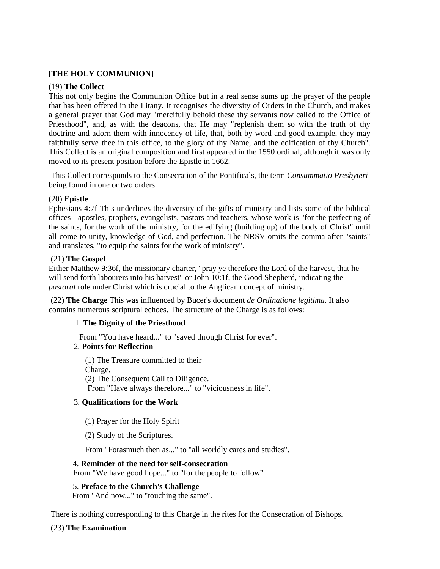## **[THE HOLY COMMUNION]**

### (19) **The Collect**

This not only begins the Communion Office but in a real sense sums up the prayer of the people that has been offered in the Litany. It recognises the diversity of Orders in the Church, and makes a general prayer that God may "mercifully behold these thy servants now called to the Office of Priesthood", and, as with the deacons, that He may "replenish them so with the truth of thy doctrine and adorn them with innocency of life, that, both by word and good example, they may faithfully serve thee in this office, to the glory of thy Name, and the edification of thy Church". This Collect is an original composition and first appeared in the 1550 ordinal, although it was only moved to its present position before the Epistle in 1662.

 This Collect corresponds to the Consecration of the Pontificals, the term *Consummatio Presbyteri*  being found in one or two orders.

### (20) **Epistle**

Ephesians 4:7f This underlines the diversity of the gifts of ministry and lists some of the biblical offices - apostles, prophets, evangelists, pastors and teachers, whose work is "for the perfecting of the saints, for the work of the ministry, for the edifying (building up) of the body of Christ" until all come to unity, knowledge of God, and perfection. The NRSV omits the comma after "saints" and translates, "to equip the saints for the work of ministry".

### (21) **The Gospel**

Either Matthew 9:36f, the missionary charter, "pray ye therefore the Lord of the harvest, that he will send forth labourers into his harvest" or John 10:1f, the Good Shepherd, indicating the *pastoral* role under Christ which is crucial to the Anglican concept of ministry.

 (22) **The Charge** This was influenced by Bucer's document *de Ordinatione legitima*. It also contains numerous scriptural echoes. The structure of the Charge is as follows:

# 1. **The Dignity of the Priesthood**

From "You have heard..." to "saved through Christ for ever".

### 2. **Points for Reflection**

(1) The Treasure committed to their Charge. (2) The Consequent Call to Diligence. From "Have always therefore..." to "viciousness in life".

### 3. **Qualifications for the Work**

(1) Prayer for the Holy Spirit

(2) Study of the Scriptures.

From "Forasmuch then as..." to "all worldly cares and studies".

### 4. **Reminder of the need for self-consecration**

From "We have good hope..." to "for the people to follow"

5. **Preface to the Church's Challenge**

From "And now..." to "touching the same".

There is nothing corresponding to this Charge in the rites for the Consecration of Bishops.

# (23) **The Examination**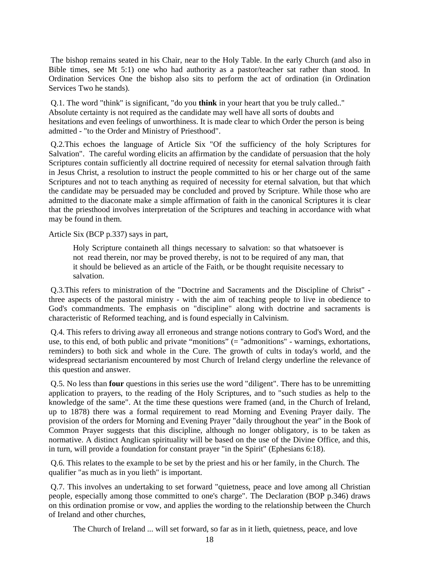The bishop remains seated in his Chair, near to the Holy Table. In the early Church (and also in Bible times, see Mt 5:1) one who had authority as a pastor/teacher sat rather than stood. In Ordination Services One the bishop also sits to perform the act of ordination (in Ordination Services Two he stands).

 Q.1. The word "think" is significant, "do you **think** in your heart that you be truly called.." Absolute certainty is not required as the candidate may well have all sorts of doubts and hesitations and even feelings of unworthiness. It is made clear to which Order the person is being admitted - "to the Order and Ministry of Priesthood".

 Q.2.This echoes the language of Article Six "Of the sufficiency of the holy Scriptures for Salvation". The careful wording elicits an affirmation by the candidate of persuasion that the holy Scriptures contain sufficiently all doctrine required of necessity for eternal salvation through faith in Jesus Christ, a resolution to instruct the people committed to his or her charge out of the same Scriptures and not to teach anything as required of necessity for eternal salvation, but that which the candidate may be persuaded may be concluded and proved by Scripture. While those who are admitted to the diaconate make a simple affirmation of faith in the canonical Scriptures it is clear that the priesthood involves interpretation of the Scriptures and teaching in accordance with what may be found in them.

Article Six (BCP p.337) says in part,

Holy Scripture containeth all things necessary to salvation: so that whatsoever is not read therein, nor may be proved thereby, is not to be required of any man, that it should be believed as an article of the Faith, or be thought requisite necessary to salvation.

 Q.3.This refers to ministration of the "Doctrine and Sacraments and the Discipline of Christ" three aspects of the pastoral ministry - with the aim of teaching people to live in obedience to God's commandments. The emphasis on "discipline" along with doctrine and sacraments is characteristic of Reformed teaching, and is found especially in Calvinism.

 Q.4. This refers to driving away all erroneous and strange notions contrary to God's Word, and the use, to this end, of both public and private "monitions" (= "admonitions" - warnings, exhortations, reminders) to both sick and whole in the Cure. The growth of cults in today's world, and the widespread sectarianism encountered by most Church of Ireland clergy underline the relevance of this question and answer.

 Q.5. No less than **four** questions in this series use the word "diligent". There has to be unremitting application to prayers, to the reading of the Holy Scriptures, and to "such studies as help to the knowledge of the same". At the time these questions were framed (and, in the Church of Ireland, up to 1878) there was a formal requirement to read Morning and Evening Prayer daily. The provision of the orders for Morning and Evening Prayer "daily throughout the year" in the Book of Common Prayer suggests that this discipline, although no longer obligatory, is to be taken as normative. A distinct Anglican spirituality will be based on the use of the Divine Office, and this, in turn, will provide a foundation for constant prayer "in the Spirit" (Ephesians 6:18).

 Q.6. This relates to the example to be set by the priest and his or her family, in the Church. The qualifier "as much as in you lieth" is important.

 Q.7. This involves an undertaking to set forward "quietness, peace and love among all Christian people, especially among those committed to one's charge". The Declaration (BOP p.346) draws on this ordination promise or vow, and applies the wording to the relationship between the Church of Ireland and other churches,

The Church of Ireland ... will set forward, so far as in it lieth, quietness, peace, and love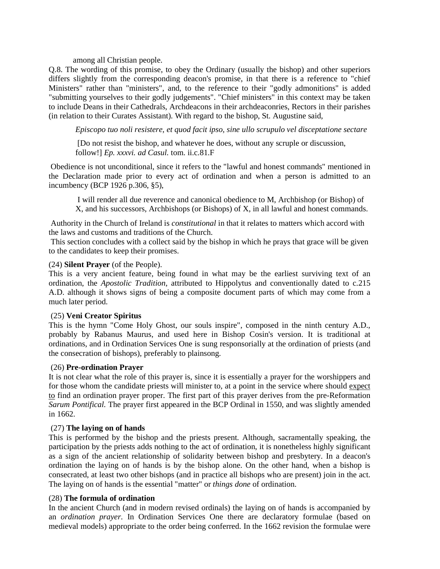### among all Christian people.

Q.8. The wording of this promise, to obey the Ordinary (usually the bishop) and other superiors differs slightly from the corresponding deacon's promise, in that there is a reference to "chief Ministers" rather than "ministers", and, to the reference to their "godly admonitions" is added "submitting yourselves to their godly judgements". "Chief ministers" in this context may be taken to include Deans in their Cathedrals, Archdeacons in their archdeaconries, Rectors in their parishes (in relation to their Curates Assistant). With regard to the bishop, St. Augustine said,

*Episcopo tuo noli resistere, et quod facit ipso, sine ullo scrupulo vel disceptatione sectare* 

 [Do not resist the bishop, and whatever he does, without any scruple or discussion, follow!] *Ep. xxxvi. ad Casul.* tom. ii.c.81.F

 Obedience is not unconditional, since it refers to the "lawful and honest commands" mentioned in the Declaration made prior to every act of ordination and when a person is admitted to an incumbency (BCP 1926 p.306, §5),

 I will render all due reverence and canonical obedience to M, Archbishop (or Bishop) of X, and his successors, Archbishops (or Bishops) of X, in all lawful and honest commands.

 Authority in the Church of Ireland is *constitutional* in that it relates to matters which accord with the laws and customs and traditions of the Church.

 This section concludes with a collect said by the bishop in which he prays that grace will be given to the candidates to keep their promises.

### (24) **Silent Prayer** (of the People).

This is a very ancient feature, being found in what may be the earliest surviving text of an ordination, the *Apostolic Tradition*, attributed to Hippolytus and conventionally dated to c.215 A.D. although it shows signs of being a composite document parts of which may come from a much later period.

### (25) **Veni Creator Spiritus**

This is the hymn "Come Holy Ghost, our souls inspire", composed in the ninth century A.D., probably by Rabanus Maurus, and used here in Bishop Cosin's version. It is traditional at ordinations, and in Ordination Services One is sung responsorially at the ordination of priests (and the consecration of bishops), preferably to plainsong.

### (26) **Pre-ordination Prayer**

It is not clear what the role of this prayer is, since it is essentially a prayer for the worshippers and for those whom the candidate priests will minister to, at a point in the service where should expect to find an ordination prayer proper. The first part of this prayer derives from the pre-Reformation *Sarum Pontifical.* The prayer first appeared in the BCP Ordinal in 1550, and was slightly amended in 1662.

### (27) **The laying on of hands**

This is performed by the bishop and the priests present. Although, sacramentally speaking, the participation by the priests adds nothing to the act of ordination, it is nonetheless highly significant as a sign of the ancient relationship of solidarity between bishop and presbytery. In a deacon's ordination the laying on of hands is by the bishop alone. On the other hand, when a bishop is consecrated, at least two other bishops (and in practice all bishops who are present) join in the act. The laying on of hands is the essential "matter" or *things done* of ordination.

### (28) **The formula of ordination**

In the ancient Church (and in modern revised ordinals) the laying on of hands is accompanied by an *ordination prayer*. In Ordination Services One there are declaratory formulae (based on medieval models) appropriate to the order being conferred. In the 1662 revision the formulae were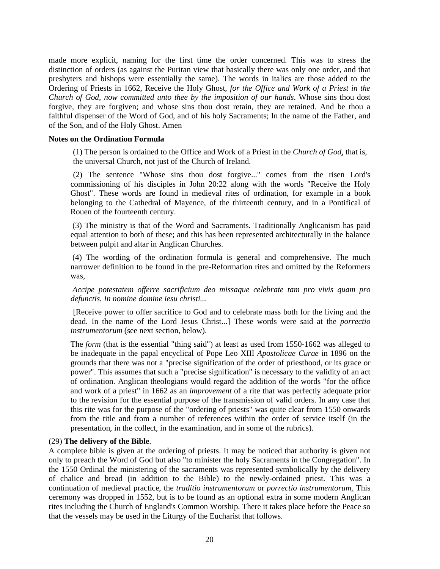made more explicit, naming for the first time the order concerned. This was to stress the distinction of orders (as against the Puritan view that basically there was only one order, and that presbyters and bishops were essentially the same). The words in italics are those added to the Ordering of Priests in 1662, Receive the Holy Ghost, *for the Office and Work of a Priest in the Church of God, now committed unto thee by the imposition of our hands*. Whose sins thou dost forgive, they are forgiven; and whose sins thou dost retain, they are retained. And be thou a faithful dispenser of the Word of God, and of his holy Sacraments; In the name of the Father, and of the Son, and of the Holy Ghost. Amen

#### **Notes on the Ordination Formula**

(1) The person is ordained to the Office and Work of a Priest in the *Church of God*, that is, the universal Church, not just of the Church of Ireland.

(2) The sentence "Whose sins thou dost forgive..." comes from the risen Lord's commissioning of his disciples in John 20:22 along with the words "Receive the Holy Ghost". These words are found in medieval rites of ordination, for example in a book belonging to the Cathedral of Mayence, of the thirteenth century, and in a Pontifical of Rouen of the fourteenth century.

 (3) The ministry is that of the Word and Sacraments. Traditionally Anglicanism has paid equal attention to both of these; and this has been represented architecturally in the balance between pulpit and altar in Anglican Churches.

 (4) The wording of the ordination formula is general and comprehensive. The much narrower definition to be found in the pre-Reformation rites and omitted by the Reformers was,

*Accipe potestatem offerre sacrificium deo missaque celebrate tam pro vivis quam pro defunctis. In nomine domine iesu christi...* 

[Receive power to offer sacrifice to God and to celebrate mass both for the living and the dead. In the name of the Lord Jesus Christ...] These words were said at the *porrectio instrumentorum* (see next section, below).

The *form* (that is the essential "thing said") at least as used from 1550-1662 was alleged to be inadequate in the papal encyclical of Pope Leo XIII *Apostolicae Curae* in 1896 on the grounds that there was not a "precise signification of the order of priesthood, or its grace or power". This assumes that such a "precise signification" is necessary to the validity of an act of ordination. Anglican theologians would regard the addition of the words "for the office and work of a priest" in 1662 as an *improvement* of a rite that was perfectly adequate prior to the revision for the essential purpose of the transmission of valid orders. In any case that this rite was for the purpose of the "ordering of priests" was quite clear from 1550 onwards from the title and from a number of references within the order of service itself (in the presentation, in the collect, in the examination, and in some of the rubrics).

#### (29) **The delivery of the Bible**.

A complete bible is given at the ordering of priests. It may be noticed that authority is given not only to preach the Word of God but also "to minister the holy Sacraments in the Congregation". In the 1550 Ordinal the ministering of the sacraments was represented symbolically by the delivery of chalice and bread (in addition to the Bible) to the newly-ordained priest. This was a continuation of medieval practice, the *traditio instrumentorum* or *porrectio instrumentorum*. This ceremony was dropped in 1552, but is to be found as an optional extra in some modern Anglican rites including the Church of England's Common Worship. There it takes place before the Peace so that the vessels may be used in the Liturgy of the Eucharist that follows.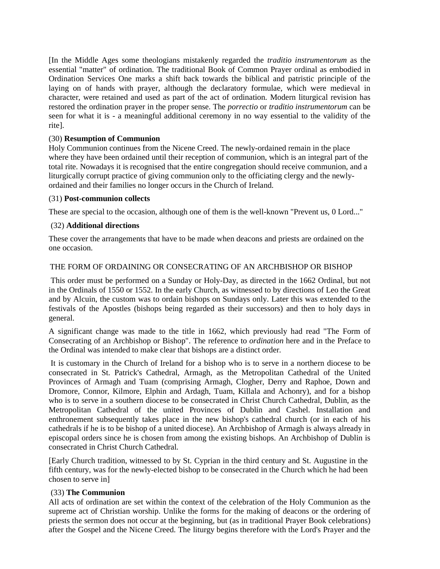[In the Middle Ages some theologians mistakenly regarded the *traditio instrumentorum* as the essential "matter" of ordination. The traditional Book of Common Prayer ordinal as embodied in Ordination Services One marks a shift back towards the biblical and patristic principle of the laying on of hands with prayer, although the declaratory formulae, which were medieval in character, were retained and used as part of the act of ordination. Modern liturgical revision has restored the ordination prayer in the proper sense. The *porrectio* or *traditio instrumentorum* can be seen for what it is - a meaningful additional ceremony in no way essential to the validity of the rite].

### (30) **Resumption of Communion**

Holy Communion continues from the Nicene Creed. The newly-ordained remain in the place where they have been ordained until their reception of communion, which is an integral part of the total rite. Nowadays it is recognised that the entire congregation should receive communion, and a liturgically corrupt practice of giving communion only to the officiating clergy and the newlyordained and their families no longer occurs in the Church of Ireland.

### (31) **Post-communion collects**

These are special to the occasion, although one of them is the well-known "Prevent us, 0 Lord..."

### (32) **Additional directions**

These cover the arrangements that have to be made when deacons and priests are ordained on the one occasion.

### THE FORM OF ORDAINING OR CONSECRATING OF AN ARCHBISHOP OR BISHOP

 This order must be performed on a Sunday or Holy-Day, as directed in the 1662 Ordinal, but not in the Ordinals of 1550 or 1552. In the early Church, as witnessed to by directions of Leo the Great and by Alcuin, the custom was to ordain bishops on Sundays only. Later this was extended to the festivals of the Apostles (bishops being regarded as their successors) and then to holy days in general.

A significant change was made to the title in 1662, which previously had read "The Form of Consecrating of an Archbishop or Bishop". The reference to *ordination* here and in the Preface to the Ordinal was intended to make clear that bishops are a distinct order.

 It is customary in the Church of Ireland for a bishop who is to serve in a northern diocese to be consecrated in St. Patrick's Cathedral, Armagh, as the Metropolitan Cathedral of the United Provinces of Armagh and Tuam (comprising Armagh, Clogher, Derry and Raphoe, Down and Dromore, Connor, Kilmore, Elphin and Ardagh, Tuam, Killala and Achonry), and for a bishop who is to serve in a southern diocese to be consecrated in Christ Church Cathedral, Dublin, as the Metropolitan Cathedral of the united Provinces of Dublin and Cashel. Installation and enthronement subsequently takes place in the new bishop's cathedral church (or in each of his cathedrals if he is to be bishop of a united diocese). An Archbishop of Armagh is always already in episcopal orders since he is chosen from among the existing bishops. An Archbishop of Dublin is consecrated in Christ Church Cathedral.

[Early Church tradition, witnessed to by St. Cyprian in the third century and St. Augustine in the fifth century, was for the newly-elected bishop to be consecrated in the Church which he had been chosen to serve in]

### (33) **The Communion**

All acts of ordination are set within the context of the celebration of the Holy Communion as the supreme act of Christian worship. Unlike the forms for the making of deacons or the ordering of priests the sermon does not occur at the beginning, but (as in traditional Prayer Book celebrations) after the Gospel and the Nicene Creed. The liturgy begins therefore with the Lord's Prayer and the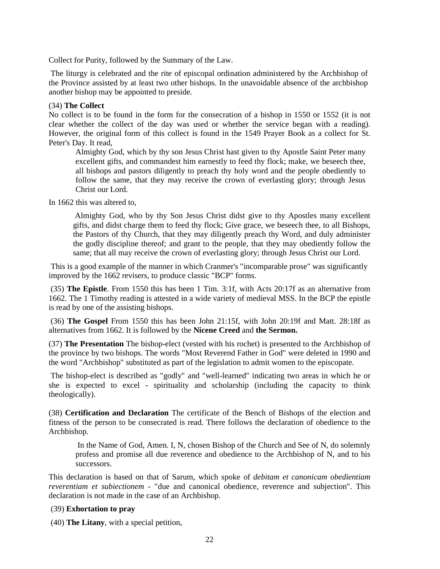Collect for Purity, followed by the Summary of the Law.

 The liturgy is celebrated and the rite of episcopal ordination administered by the Archbishop of the Province assisted by at least two other bishops. In the unavoidable absence of the archbishop another bishop may be appointed to preside.

#### (34) **The Collect**

No collect is to be found in the form for the consecration of a bishop in 1550 or 1552 (it is not clear whether the collect of the day was used or whether the service began with a reading). However, the original form of this collect is found in the 1549 Prayer Book as a collect for St. Peter's Day. It read,

Almighty God, which by thy son Jesus Christ hast given to thy Apostle Saint Peter many excellent gifts, and commandest him earnestly to feed thy flock; make, we beseech thee, all bishops and pastors diligently to preach thy holy word and the people obediently to follow the same, that they may receive the crown of everlasting glory; through Jesus Christ our Lord.

In 1662 this was altered to,

 Almighty God, who by thy Son Jesus Christ didst give to thy Apostles many excellent gifts, and didst charge them to feed thy flock; Give grace, we beseech thee, to all Bishops, the Pastors of thy Church, that they may diligently preach thy Word, and duly administer the godly discipline thereof; and grant to the people, that they may obediently follow the same; that all may receive the crown of everlasting glory; through Jesus Christ our Lord.

 This is a good example of the manner in which Cranmer's "incomparable prose" was significantly improved by the 1662 revisers, to produce classic "BCP" forms.

 (35) **The Epistle**. From 1550 this has been 1 Tim. 3:1f, with Acts 20:17f as an alternative from 1662. The 1 Timothy reading is attested in a wide variety of medieval MSS. In the BCP the epistle is read by one of the assisting bishops.

 (36) **The Gospel** From 1550 this has been John 21:15f, with John 20:19f and Matt. 28:18f as alternatives from 1662. It is followed by the **Nicene Creed** and **the Sermon.**

(37) **The Presentation** The bishop-elect (vested with his rochet) is presented to the Archbishop of the province by two bishops. The words "Most Reverend Father in God" were deleted in 1990 and the word "Archbishop" substituted as part of the legislation to admit women to the episcopate.

 The bishop-elect is described as "godly" and "well-learned" indicating two areas in which he or she is expected to excel - spirituality and scholarship (including the capacity to think theologically).

(38) **Certification and Declaration** The certificate of the Bench of Bishops of the election and fitness of the person to be consecrated is read. There follows the declaration of obedience to the Archbishop.

 In the Name of God, Amen. I, N, chosen Bishop of the Church and See of N, do solemnly profess and promise all due reverence and obedience to the Archbishop of N, and to his successors.

This declaration is based on that of Sarum, which spoke of *debitam et canonicam obedientiam reverentiam et subiectionem* - "due and canonical obedience, reverence and subjection". This declaration is not made in the case of an Archbishop.

### (39) **Exhortation to pray**

(40) **The Litany**, with a special petition,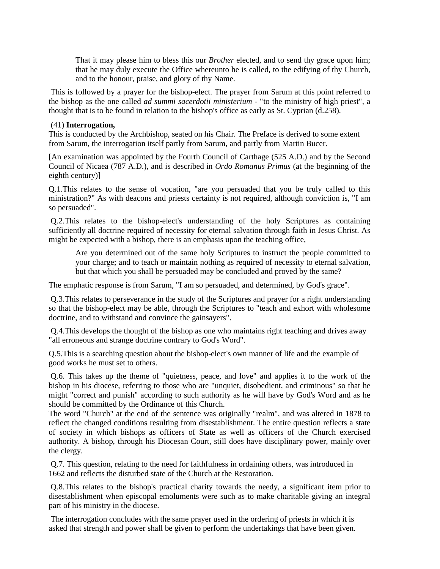That it may please him to bless this our *Brother* elected, and to send thy grace upon him; that he may duly execute the Office whereunto he is called, to the edifying of thy Church, and to the honour, praise, and glory of thy Name.

 This is followed by a prayer for the bishop-elect. The prayer from Sarum at this point referred to the bishop as the one called *ad summi sacerdotii ministerium* - "to the ministry of high priest", a thought that is to be found in relation to the bishop's office as early as St. Cyprian (d.258).

#### (41) **Interrogation,**

This is conducted by the Archbishop, seated on his Chair. The Preface is derived to some extent from Sarum, the interrogation itself partly from Sarum, and partly from Martin Bucer.

[An examination was appointed by the Fourth Council of Carthage (525 A.D.) and by the Second Council of Nicaea (787 A.D.), and is described in *Ordo Romanus Primus* (at the beginning of the eighth century)]

Q.1.This relates to the sense of vocation, "are you persuaded that you be truly called to this ministration?" As with deacons and priests certainty is not required, although conviction is, "I am so persuaded".

 Q.2.This relates to the bishop-elect's understanding of the holy Scriptures as containing sufficiently all doctrine required of necessity for eternal salvation through faith in Jesus Christ. As might be expected with a bishop, there is an emphasis upon the teaching office,

Are you determined out of the same holy Scriptures to instruct the people committed to your charge; and to teach or maintain nothing as required of necessity to eternal salvation, but that which you shall be persuaded may be concluded and proved by the same?

The emphatic response is from Sarum, "I am so persuaded, and determined, by God's grace".

 Q.3.This relates to perseverance in the study of the Scriptures and prayer for a right understanding so that the bishop-elect may be able, through the Scriptures to "teach and exhort with wholesome doctrine, and to withstand and convince the gainsayers".

 Q.4.This develops the thought of the bishop as one who maintains right teaching and drives away "all erroneous and strange doctrine contrary to God's Word".

Q.5.This is a searching question about the bishop-elect's own manner of life and the example of good works he must set to others.

 Q.6. This takes up the theme of "quietness, peace, and love" and applies it to the work of the bishop in his diocese, referring to those who are "unquiet, disobedient, and criminous" so that he might "correct and punish" according to such authority as he will have by God's Word and as he should be committed by the Ordinance of this Church.

The word "Church" at the end of the sentence was originally "realm", and was altered in 1878 to reflect the changed conditions resulting from disestablishment. The entire question reflects a state of society in which bishops as officers of State as well as officers of the Church exercised authority. A bishop, through his Diocesan Court, still does have disciplinary power, mainly over the clergy.

 Q.7. This question, relating to the need for faithfulness in ordaining others, was introduced in 1662 and reflects the disturbed state of the Church at the Restoration.

 Q.8.This relates to the bishop's practical charity towards the needy, a significant item prior to disestablishment when episcopal emoluments were such as to make charitable giving an integral part of his ministry in the diocese.

 The interrogation concludes with the same prayer used in the ordering of priests in which it is asked that strength and power shall be given to perform the undertakings that have been given.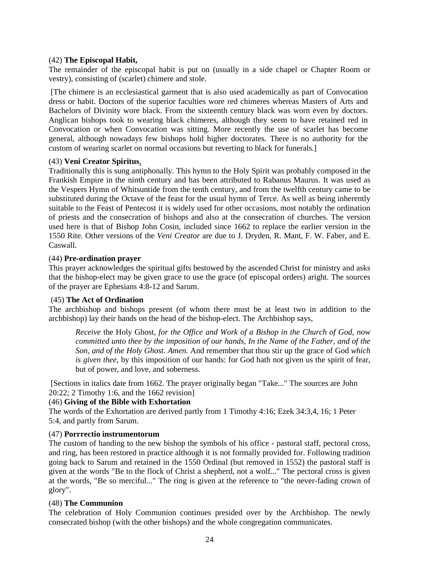### (42) **The Episcopal Habit,**

The remainder of the episcopal habit is put on (usually in a side chapel or Chapter Room or vestry), consisting of (scarlet) chimere and stole.

 [The chimere is an ecclesiastical garment that is also used academically as part of Convocation dress or habit. Doctors of the superior faculties wore red chimeres whereas Masters of Arts and Bachelors of Divinity wore black. From the sixteenth century black was worn even by doctors. Anglican bishops took to wearing black chimeres, although they seem to have retained red in Convocation or when Convocation was sitting. More recently the use of scarlet has become general, although nowadays few bishops hold higher doctorates. There is no authority for the custom of wearing scarlet on normal occasions but reverting to black for funerals.]

### (43) **Veni Creator Spiritus**,

Traditionally this is sung antiphonally. This hymn to the Holy Spirit was probably composed in the Frankish Empire in the ninth century and has been attributed to Rabanus Maurus. It was used as the Vespers Hymn of Whitsuntide from the tenth century, and from the twelfth century came to be substituted during the Octave of the feast for the usual hymn of Terce. As well as being inherently suitable to the Feast of Pentecost it is widely used for other occasions, most notably the ordination of priests and the consecration of bishops and also at the consecration of churches. The version used here is that of Bishop John Cosin, included since 1662 to replace the earlier version in the 1550 Rite. Other versions of the *Veni Creator* are due to J. Dryden, R. Mant, F. W. Faber, and E. Caswall.

### (44) **Pre-ordination prayer**

This prayer acknowledges the spiritual gifts bestowed by the ascended Christ for ministry and asks that the bishop-elect may be given grace to use the grace (of episcopal orders) aright. The sources of the prayer are Ephesians 4:8-12 and Sarum.

# (45) **The Act of Ordination**

The archbishop and bishops present (of whom there must be at least two in addition to the archbishop) lay their hands on the head of the bishop-elect. The Archbishop says,

*Receive* the Holy Ghost, *for the Office and Work of a Bishop in the Church of God, now committed unto thee by the imposition of our hands, In the Name of the Father, and of the Son, and of the Holy Ghost. Amen.* And remember that thou stir up the grace of God *which is given thee*, by this imposition of our hands: for God hath not given us the spirit of fear, but of power, and love, and soberness.

 [Sections in italics date from 1662. The prayer originally began "Take..." The sources are John 20:22; 2 Timothy 1:6, and the 1662 revision]

### (46) **Giving of the Bible with Exhortation**

The words of the Exhortation are derived partly from 1 Timothy 4:16; Ezek 34:3,4, 16; 1 Peter 5:4, and partly from Sarum.

### (47) **Porrrectio instrumentorum**

The custom of handing to the new bishop the symbols of his office - pastoral staff, pectoral cross, and ring, has been restored in practice although it is not formally provided for. Following tradition going back to Sarum and retained in the 1550 Ordinal (but removed in 1552) the pastoral staff is given at the words "Be to the flock of Christ a shepherd, not a wolf..." The pectoral cross is given at the words, "Be so merciful..." The ring is given at the reference to "the never-fading crown of glory".

# (48) **The Communion**

The celebration of Holy Communion continues presided over by the Archbishop. The newly consecrated bishop (with the other bishops) and the whole congregation communicates.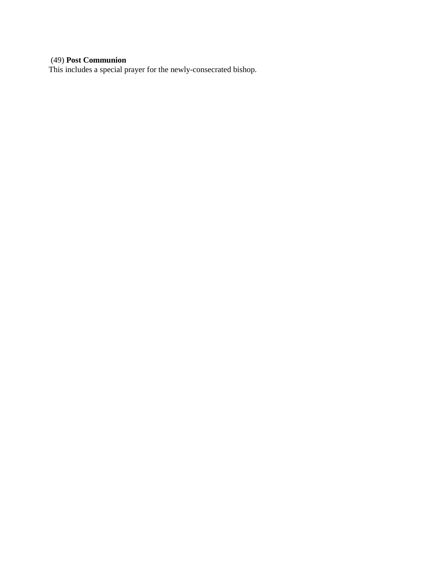# (49) **Post Communion**

This includes a special prayer for the newly-consecrated bishop.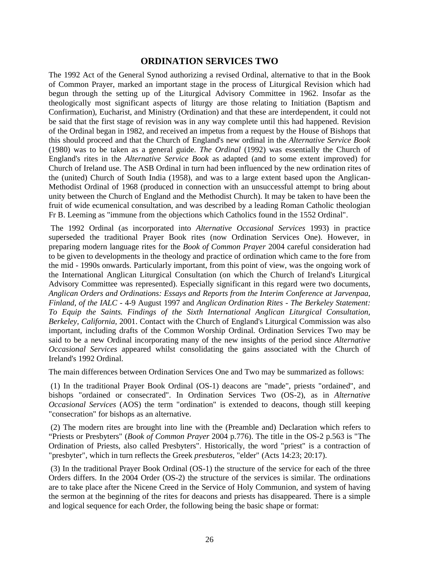# **ORDINATION SERVICES TWO**

The 1992 Act of the General Synod authorizing a revised Ordinal, alternative to that in the Book of Common Prayer, marked an important stage in the process of Liturgical Revision which had begun through the setting up of the Liturgical Advisory Committee in 1962. Insofar as the theologically most significant aspects of liturgy are those relating to Initiation (Baptism and Confirmation), Eucharist, and Ministry (Ordination) and that these are interdependent, it could not be said that the first stage of revision was in any way complete until this had happened. Revision of the Ordinal began in 1982, and received an impetus from a request by the House of Bishops that this should proceed and that the Church of England's new ordinal in the *Alternative Service Book* (1980) was to be taken as a general guide. *The Ordinal* (1992) was essentially the Church of England's rites in the *Alternative Service Book* as adapted (and to some extent improved) for Church of Ireland use. The ASB Ordinal in turn had been influenced by the new ordination rites of the (united) Church of South India (1958), and was to a large extent based upon the Anglican-Methodist Ordinal of 1968 (produced in connection with an unsuccessful attempt to bring about unity between the Church of England and the Methodist Church). It may be taken to have been the fruit of wide ecumenical consultation, and was described by a leading Roman Catholic theologian Fr B. Leeming as "immune from the objections which Catholics found in the 1552 Ordinal".

 The 1992 Ordinal (as incorporated into *Alternative Occasional Services* 1993) in practice superseded the traditional Prayer Book rites (now Ordination Services One). However, in preparing modern language rites for the *Book of Common Prayer* 2004 careful consideration had to be given to developments in the theology and practice of ordination which came to the fore from the mid - 1990s onwards. Particularly important, from this point of view, was the ongoing work of the International Anglican Liturgical Consultation (on which the Church of Ireland's Liturgical Advisory Committee was represented). Especially significant in this regard were two documents, *Anglican Orders and Ordinations: Essays and Reports from the Interim Conference at Jarvenpaa, Finland, of the IALC* - 4-9 August 1997 and *Anglican Ordination Rites - The Berkeley Statement: To Equip the Saints. Findings of the Sixth International Anglican Liturgical Consultation, Berkeley, California,* 2001. Contact with the Church of England's Liturgical Commission was also important, including drafts of the Common Worship Ordinal. Ordination Services Two may be said to be a new Ordinal incorporating many of the new insights of the period since *Alternative Occasional Services* appeared whilst consolidating the gains associated with the Church of Ireland's 1992 Ordinal.

The main differences between Ordination Services One and Two may be summarized as follows:

 (1) In the traditional Prayer Book Ordinal (OS-1) deacons are "made", priests "ordained", and bishops "ordained or consecrated". In Ordination Services Two (OS-2), as in *Alternative Occasional Services* (AOS) the term "ordination" is extended to deacons, though still keeping "consecration" for bishops as an alternative.

 (2) The modern rites are brought into line with the (Preamble and) Declaration which refers to "Priests or Presbyters" (*Book of Common Prayer* 2004 p.776). The title in the OS-2 p.563 is "The Ordination of Priests, also called Presbyters". Historically, the word "priest" is a contraction of "presbyter", which in turn reflects the Greek *presbuteros,* "elder" (Acts 14:23; 20:17).

 (3) In the traditional Prayer Book Ordinal (OS-1) the structure of the service for each of the three Orders differs. In the 2004 Order (OS-2) the structure of the services is similar. The ordinations are to take place after the Nicene Creed in the Service of Holy Communion, and system of having the sermon at the beginning of the rites for deacons and priests has disappeared. There is a simple and logical sequence for each Order, the following being the basic shape or format: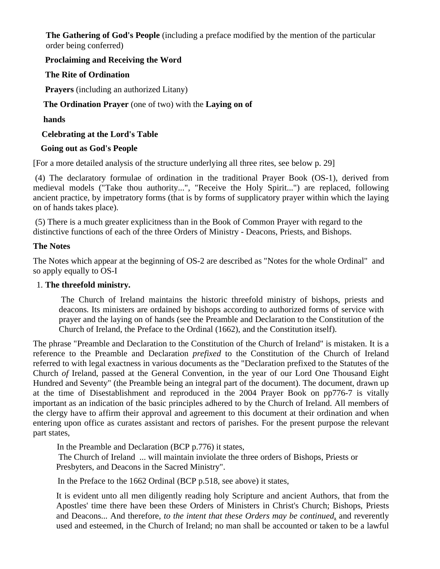**The Gathering of God's People** (including a preface modified by the mention of the particular order being conferred)

# **Proclaiming and Receiving the Word**

# **The Rite of Ordination**

 **Prayers** (including an authorized Litany)

# **The Ordination Prayer** (one of two) with the **Laying on of**

# **hands**

 **Celebrating at the Lord's Table** 

# **Going out as God's People**

[For a more detailed analysis of the structure underlying all three rites, see below p. 29]

 (4) The declaratory formulae of ordination in the traditional Prayer Book (OS-1), derived from medieval models ("Take thou authority...", "Receive the Holy Spirit...") are replaced, following ancient practice, by impetratory forms (that is by forms of supplicatory prayer within which the laying on of hands takes place).

 (5) There is a much greater explicitness than in the Book of Common Prayer with regard to the distinctive functions of each of the three Orders of Ministry - Deacons, Priests, and Bishops.

# **The Notes**

The Notes which appear at the beginning of OS-2 are described as "Notes for the whole Ordinal" and so apply equally to OS-I

# 1. **The threefold ministry.**

 The Church of Ireland maintains the historic threefold ministry of bishops, priests and deacons. Its ministers are ordained by bishops according to authorized forms of service with prayer and the laying on of hands (see the Preamble and Declaration to the Constitution of the Church of Ireland, the Preface to the Ordinal (1662), and the Constitution itself).

The phrase "Preamble and Declaration to the Constitution of the Church of Ireland" is mistaken. It is a reference to the Preamble and Declaration *prefixed* to the Constitution of the Church of Ireland referred to with legal exactness in various documents as the "Declaration prefixed to the Statutes of the Church *of* Ireland, passed at the General Convention, in the year of our Lord One Thousand Eight Hundred and Seventy" (the Preamble being an integral part of the document). The document, drawn up at the time of Disestablishment and reproduced in the 2004 Prayer Book on pp776-7 is vitally important as an indication of the basic principles adhered to by the Church of Ireland. All members of the clergy have to affirm their approval and agreement to this document at their ordination and when entering upon office as curates assistant and rectors of parishes. For the present purpose the relevant part states,

In the Preamble and Declaration (BCP p.776) it states,

 The Church of Ireland ... will maintain inviolate the three orders of Bishops, Priests or Presbyters, and Deacons in the Sacred Ministry".

In the Preface to the 1662 Ordinal (BCP p.518, see above) it states,

It is evident unto all men diligently reading holy Scripture and ancient Authors, that from the Apostles' time there have been these Orders of Ministers in Christ's Church; Bishops, Priests and Deacons... And therefore, *to the intent that these Orders may be continued*, and reverently used and esteemed, in the Church of Ireland; no man shall be accounted or taken to be a lawful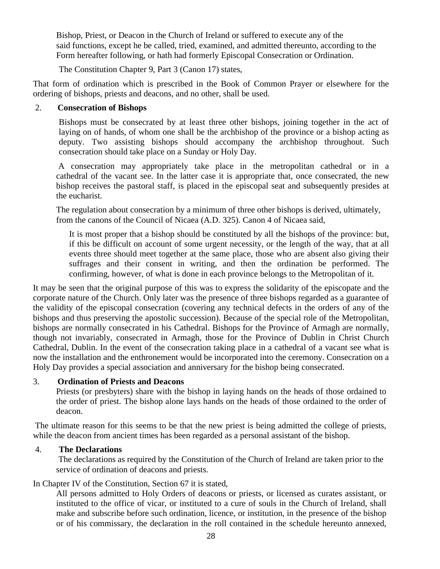Bishop, Priest, or Deacon in the Church of Ireland or suffered to execute any of the said functions, except he be called, tried, examined, and admitted thereunto, according to the Form hereafter following, or hath had formerly Episcopal Consecration or Ordination.

The Constitution Chapter 9, Part 3 (Canon 17) states,

That form of ordination which is prescribed in the Book of Common Prayer or elsewhere for the ordering of bishops, priests and deacons, and no other, shall be used.

# 2. **Consecration of Bishops**

Bishops must be consecrated by at least three other bishops, joining together in the act of laying on of hands, of whom one shall be the archbishop of the province or a bishop acting as deputy. Two assisting bishops should accompany the archbishop throughout. Such consecration should take place on a Sunday or Holy Day.

 A consecration may appropriately take place in the metropolitan cathedral or in a cathedral of the vacant see. In the latter case it is appropriate that, once consecrated, the new bishop receives the pastoral staff, is placed in the episcopal seat and subsequently presides at the eucharist.

The regulation about consecration by a minimum of three other bishops is derived, ultimately, from the canons of the Council of Nicaea (A.D. 325). Canon 4 of Nicaea said,

It is most proper that a bishop should be constituted by all the bishops of the province: but, if this be difficult on account of some urgent necessity, or the length of the way, that at all events three should meet together at the same place, those who are absent also giving their suffrages and their consent in writing, and then the ordination be performed. The confirming, however, of what is done in each province belongs to the Metropolitan of it.

It may be seen that the original purpose of this was to express the solidarity of the episcopate and the corporate nature of the Church. Only later was the presence of three bishops regarded as a guarantee of the validity of the episcopal consecration (covering any technical defects in the orders of any of the bishops and thus preserving the apostolic succession). Because of the special role of the Metropolitan, bishops are normally consecrated in his Cathedral. Bishops for the Province of Armagh are normally, though not invariably, consecrated in Armagh, those for the Province of Dublin in Christ Church Cathedral, Dublin. In the event of the consecration taking place in a cathedral of a vacant see what is now the installation and the enthronement would be incorporated into the ceremony. Consecration on a Holy Day provides a special association and anniversary for the bishop being consecrated.

# 3. **Ordination of Priests and Deacons**

Priests (or presbyters) share with the bishop in laying hands on the heads of those ordained to the order of priest. The bishop alone lays hands on the heads of those ordained to the order of deacon.

 The ultimate reason for this seems to be that the new priest is being admitted the college of priests, while the deacon from ancient times has been regarded as a personal assistant of the bishop.

# 4. **The Declarations**

 The declarations as required by the Constitution of the Church of Ireland are taken prior to the service of ordination of deacons and priests.

# In Chapter IV of the Constitution, Section 67 it is stated,

All persons admitted to Holy Orders of deacons or priests, or licensed as curates assistant, or instituted to the office of vicar, or instituted to a cure of souls in the Church of Ireland, shall make and subscribe before such ordination, licence, or institution, in the presence of the bishop or of his commissary, the declaration in the roll contained in the schedule hereunto annexed,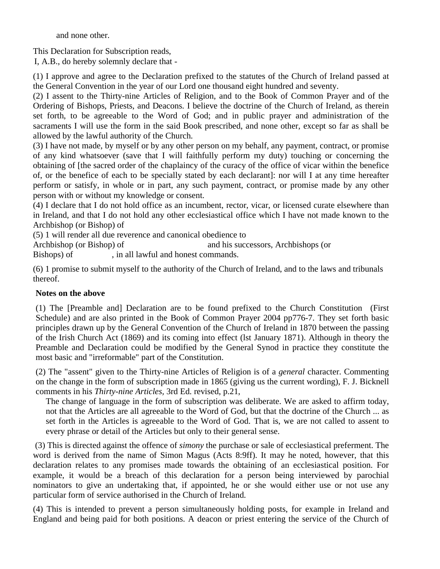and none other.

This Declaration for Subscription reads,

I, A.B., do hereby solemnly declare that -

(1) I approve and agree to the Declaration prefixed to the statutes of the Church of Ireland passed at the General Convention in the year of our Lord one thousand eight hundred and seventy.

(2) I assent to the Thirty-nine Articles of Religion, and to the Book of Common Prayer and of the Ordering of Bishops, Priests, and Deacons. I believe the doctrine of the Church of Ireland, as therein set forth, to be agreeable to the Word of God; and in public prayer and administration of the sacraments I will use the form in the said Book prescribed, and none other, except so far as shall be allowed by the lawful authority of the Church.

(3) I have not made, by myself or by any other person on my behalf, any payment, contract, or promise of any kind whatsoever (save that I will faithfully perform my duty) touching or concerning the obtaining of [the sacred order of the chaplaincy of the curacy of the office of vicar within the benefice of, or the benefice of each to be specially stated by each declarant]: nor will I at any time hereafter perform or satisfy, in whole or in part, any such payment, contract, or promise made by any other person with or without my knowledge or consent.

(4) I declare that I do not hold office as an incumbent, rector, vicar, or licensed curate elsewhere than in Ireland, and that I do not hold any other ecclesiastical office which I have not made known to the Archbishop (or Bishop) of

(5) 1 will render all due reverence and canonical obedience to

Archbishop (or Bishop) of and his successors, Archbishops (or

Bishops) of , in all lawful and honest commands.

(6) 1 promise to submit myself to the authority of the Church of Ireland, and to the laws and tribunals thereof.

# **Notes on the above**

(1) The [Preamble and] Declaration are to be found prefixed to the Church Constitution (First Schedule) and are also printed in the Book of Common Prayer 2004 pp776-7. They set forth basic principles drawn up by the General Convention of the Church of Ireland in 1870 between the passing of the Irish Church Act (1869) and its coming into effect (lst January 1871). Although in theory the Preamble and Declaration could be modified by the General Synod in practice they constitute the most basic and "irreformable" part of the Constitution.

(2) The "assent" given to the Thirty-nine Articles of Religion is of a *general* character. Commenting on the change in the form of subscription made in 1865 (giving us the current wording), F. J. Bicknell comments in his *Thirty-nine Articles,* 3rd Ed. revised, p.21,

The change of language in the form of subscription was deliberate. We are asked to affirm today, not that the Articles are all agreeable to the Word of God, but that the doctrine of the Church ... as set forth in the Articles is agreeable to the Word of God. That is, we are not called to assent to every phrase or detail of the Articles but only to their general sense.

 (3) This is directed against the offence of *simony* the purchase or sale of ecclesiastical preferment. The word is derived from the name of Simon Magus (Acts 8:9ff). It may he noted, however, that this declaration relates to any promises made towards the obtaining of an ecclesiastical position. For example, it would be a breach of this declaration for a person being interviewed by parochial nominators to give an undertaking that, if appointed, he or she would either use or not use any particular form of service authorised in the Church of Ireland.

(4) This is intended to prevent a person simultaneously holding posts, for example in Ireland and England and being paid for both positions. A deacon or priest entering the service of the Church of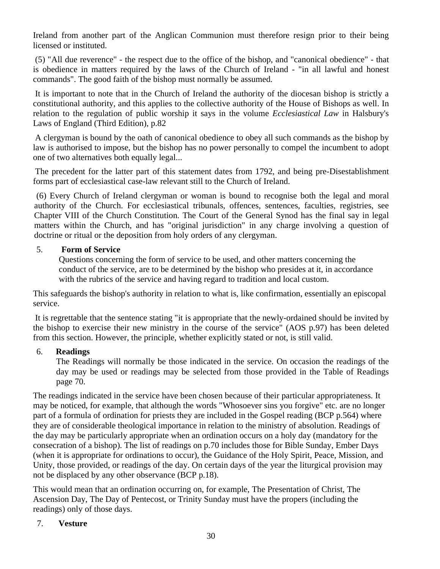Ireland from another part of the Anglican Communion must therefore resign prior to their being licensed or instituted.

 (5) "All due reverence" - the respect due to the office of the bishop, and "canonical obedience" - that is obedience in matters required by the laws of the Church of Ireland - "in all lawful and honest commands". The good faith of the bishop must normally be assumed.

 It is important to note that in the Church of Ireland the authority of the diocesan bishop is strictly a constitutional authority, and this applies to the collective authority of the House of Bishops as well. In relation to the regulation of public worship it says in the volume *Ecclesiastical Law* in Halsbury's Laws of England (Third Edition), p.82

 A clergyman is bound by the oath of canonical obedience to obey all such commands as the bishop by law is authorised to impose, but the bishop has no power personally to compel the incumbent to adopt one of two alternatives both equally legal...

 The precedent for the latter part of this statement dates from 1792, and being pre-Disestablishment forms part of ecclesiastical case-law relevant still to the Church of Ireland.

 (6) Every Church of Ireland clergyman or woman is bound to recognise both the legal and moral authority of the Church. For ecclesiastical tribunals, offences, sentences, faculties, registries, see Chapter VIII of the Church Constitution. The Court of the General Synod has the final say in legal matters within the Church, and has "original jurisdiction" in any charge involving a question of doctrine or ritual or the deposition from holy orders of any clergyman.

# 5. **Form of Service**

Questions concerning the form of service to be used, and other matters concerning the conduct of the service, are to be determined by the bishop who presides at it, in accordance with the rubrics of the service and having regard to tradition and local custom.

This safeguards the bishop's authority in relation to what is, like confirmation, essentially an episcopal service.

 It is regrettable that the sentence stating "it is appropriate that the newly-ordained should be invited by the bishop to exercise their new ministry in the course of the service" (AOS p.97) has been deleted from this section. However, the principle, whether explicitly stated or not, is still valid.

# 6. **Readings**

The Readings will normally be those indicated in the service. On occasion the readings of the day may be used or readings may be selected from those provided in the Table of Readings page 70.

The readings indicated in the service have been chosen because of their particular appropriateness. It may be noticed, for example, that although the words "Whosoever sins you forgive" etc. are no longer part of a formula of ordination for priests they are included in the Gospel reading (BCP p.564) where they are of considerable theological importance in relation to the ministry of absolution. Readings of the day may be particularly appropriate when an ordination occurs on a holy day (mandatory for the consecration of a bishop). The list of readings on p.70 includes those for Bible Sunday, Ember Days (when it is appropriate for ordinations to occur), the Guidance of the Holy Spirit, Peace, Mission, and Unity, those provided, or readings of the day. On certain days of the year the liturgical provision may not be displaced by any other observance (BCP p.18).

This would mean that an ordination occurring on, for example, The Presentation of Christ, The Ascension Day, The Day of Pentecost, or Trinity Sunday must have the propers (including the readings) only of those days.

# 7. **Vesture**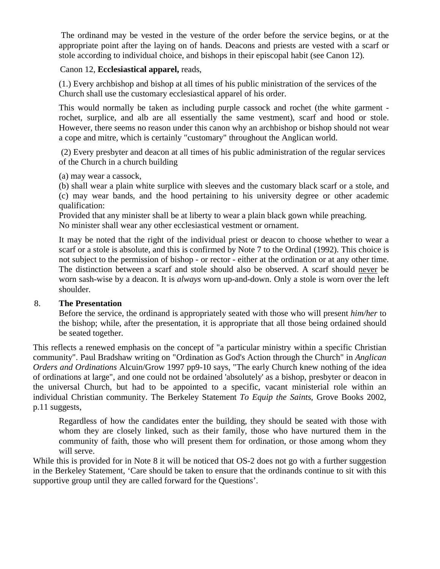The ordinand may be vested in the vesture of the order before the service begins, or at the appropriate point after the laying on of hands. Deacons and priests are vested with a scarf or stole according to individual choice, and bishops in their episcopal habit (see Canon 12).

# Canon 12, **Ecclesiastical apparel,** reads,

(1.) Every archbishop and bishop at all times of his public ministration of the services of the Church shall use the customary ecclesiastical apparel of his order.

This would normally be taken as including purple cassock and rochet (the white garment rochet, surplice, and alb are all essentially the same vestment), scarf and hood or stole. However, there seems no reason under this canon why an archbishop or bishop should not wear a cope and mitre, which is certainly "customary" throughout the Anglican world.

 (2) Every presbyter and deacon at all times of his public administration of the regular services of the Church in a church building

(a) may wear a cassock,

(b) shall wear a plain white surplice with sleeves and the customary black scarf or a stole, and (c) may wear bands, and the hood pertaining to his university degree or other academic qualification:

Provided that any minister shall be at liberty to wear a plain black gown while preaching. No minister shall wear any other ecclesiastical vestment or ornament.

It may be noted that the right of the individual priest or deacon to choose whether to wear a scarf or a stole is absolute, and this is confirmed by Note 7 to the Ordinal (1992). This choice is not subject to the permission of bishop - or rector - either at the ordination or at any other time. The distinction between a scarf and stole should also be observed. A scarf should never be worn sash-wise by a deacon. It is *always* worn up-and-down. Only a stole is worn over the left shoulder.

# 8. **The Presentation**

Before the service, the ordinand is appropriately seated with those who will present *him/her* to the bishop; while, after the presentation, it is appropriate that all those being ordained should be seated together.

This reflects a renewed emphasis on the concept of "a particular ministry within a specific Christian community". Paul Bradshaw writing on "Ordination as God's Action through the Church" in *Anglican Orders and Ordinations* Alcuin/Grow 1997 pp9-10 says, "The early Church knew nothing of the idea of ordinations at large", and one could not be ordained 'absolutely' as a bishop, presbyter or deacon in the universal Church, but had to be appointed to a specific, vacant ministerial role within an individual Christian community. The Berkeley Statement *To Equip the Saints*, Grove Books 2002, p.11 suggests,

Regardless of how the candidates enter the building, they should be seated with those with whom they are closely linked, such as their family, those who have nurtured them in the community of faith, those who will present them for ordination, or those among whom they will serve.

While this is provided for in Note 8 it will be noticed that OS-2 does not go with a further suggestion in the Berkeley Statement, 'Care should be taken to ensure that the ordinands continue to sit with this supportive group until they are called forward for the Questions'.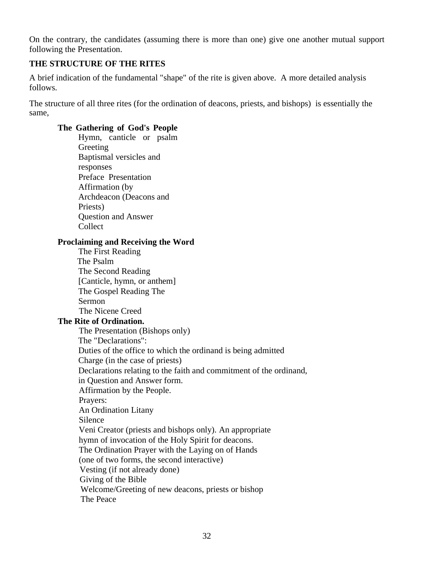On the contrary, the candidates (assuming there is more than one) give one another mutual support following the Presentation.

# **THE STRUCTURE OF THE RITES**

A brief indication of the fundamental "shape" of the rite is given above. A more detailed analysis follows.

The structure of all three rites (for the ordination of deacons, priests, and bishops) is essentially the same,

# **The Gathering of God's People**

Hymn, canticle or psalm Greeting Baptismal versicles and responses Preface Presentation Affirmation (by Archdeacon (Deacons and Priests) Question and Answer Collect

### **Proclaiming and Receiving the Word**

The First Reading The Psalm The Second Reading [Canticle, hymn, or anthem] The Gospel Reading The Sermon The Nicene Creed

# **The Rite of Ordination.**

 The Presentation (Bishops only) The "Declarations": Duties of the office to which the ordinand is being admitted Charge (in the case of priests) Declarations relating to the faith and commitment of the ordinand, in Question and Answer form. Affirmation by the People. Prayers: An Ordination Litany Silence Veni Creator (priests and bishops only). An appropriate hymn of invocation of the Holy Spirit for deacons. The Ordination Prayer with the Laying on of Hands (one of two forms, the second interactive) Vesting (if not already done) Giving of the Bible Welcome/Greeting of new deacons, priests or bishop The Peace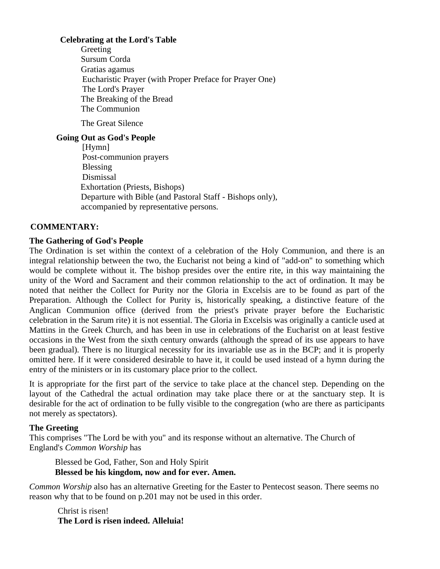# **Celebrating at the Lord's Table**

Greeting Sursum Corda Gratias agamus Eucharistic Prayer (with Proper Preface for Prayer One) The Lord's Prayer The Breaking of the Bread The Communion

The Great Silence

# **Going Out as God's People**

[Hymn] Post-communion prayers Blessing Dismissal Exhortation (Priests, Bishops) Departure with Bible (and Pastoral Staff - Bishops only), accompanied by representative persons.

# **COMMENTARY:**

# **The Gathering of God's People**

The Ordination is set within the context of a celebration of the Holy Communion, and there is an integral relationship between the two, the Eucharist not being a kind of "add-on" to something which would be complete without it. The bishop presides over the entire rite, in this way maintaining the unity of the Word and Sacrament and their common relationship to the act of ordination. It may be noted that neither the Collect for Purity nor the Gloria in Excelsis are to be found as part of the Preparation. Although the Collect for Purity is, historically speaking, a distinctive feature of the Anglican Communion office (derived from the priest's private prayer before the Eucharistic celebration in the Sarum rite) it is not essential. The Gloria in Excelsis was originally a canticle used at Mattins in the Greek Church, and has been in use in celebrations of the Eucharist on at least festive occasions in the West from the sixth century onwards (although the spread of its use appears to have been gradual). There is no liturgical necessity for its invariable use as in the BCP; and it is properly omitted here. If it were considered desirable to have it, it could be used instead of a hymn during the entry of the ministers or in its customary place prior to the collect.

It is appropriate for the first part of the service to take place at the chancel step. Depending on the layout of the Cathedral the actual ordination may take place there or at the sanctuary step. It is desirable for the act of ordination to be fully visible to the congregation (who are there as participants not merely as spectators).

# **The Greeting**

This comprises "The Lord be with you" and its response without an alternative. The Church of England's *Common Worship* has

Blessed be God, Father, Son and Holy Spirit **Blessed be his kingdom, now and for ever. Amen.** 

*Common Worship* also has an alternative Greeting for the Easter to Pentecost season. There seems no reason why that to be found on p.201 may not be used in this order.

Christ is risen! **The Lord is risen indeed. Alleluia!**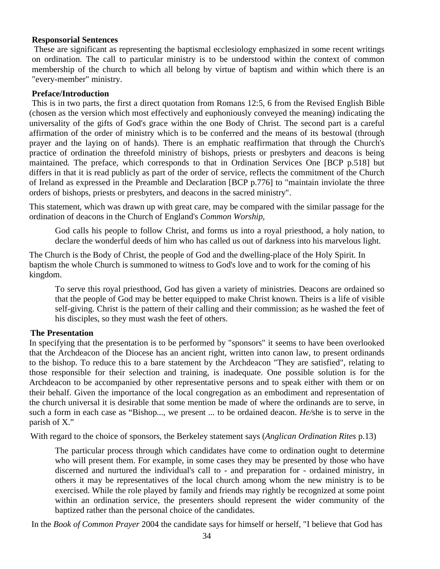# **Responsorial Sentences**

 These are significant as representing the baptismal ecclesiology emphasized in some recent writings on ordination. The call to particular ministry is to be understood within the context of common membership of the church to which all belong by virtue of baptism and within which there is an "every-member" ministry.

### **Preface/Introduction**

This is in two parts, the first a direct quotation from Romans 12:5, 6 from the Revised English Bible (chosen as the version which most effectively and euphoniously conveyed the meaning) indicating the universality of the gifts of God's grace within the one Body of Christ. The second part is a careful affirmation of the order of ministry which is to be conferred and the means of its bestowal (through prayer and the laying on of hands). There is an emphatic reaffirmation that through the Church's practice of ordination the threefold ministry of bishops, priests or presbyters and deacons is being maintained. The preface, which corresponds to that in Ordination Services One [BCP p.518] but differs in that it is read publicly as part of the order of service, reflects the commitment of the Church of Ireland as expressed in the Preamble and Declaration [BCP p.776] to "maintain inviolate the three orders of bishops, priests or presbyters, and deacons in the sacred ministry".

This statement, which was drawn up with great care, may be compared with the similar passage for the ordination of deacons in the Church of England's *Common Worship,*

God calls his people to follow Christ, and forms us into a royal priesthood, a holy nation, to declare the wonderful deeds of him who has called us out of darkness into his marvelous light.

The Church is the Body of Christ, the people of God and the dwelling-place of the Holy Spirit. In baptism the whole Church is summoned to witness to God's love and to work for the coming of his kingdom.

To serve this royal priesthood, God has given a variety of ministries. Deacons are ordained so that the people of God may be better equipped to make Christ known. Theirs is a life of visible self-giving. Christ is the pattern of their calling and their commission; as he washed the feet of his disciples, so they must wash the feet of others.

### **The Presentation**

In specifying that the presentation is to be performed by "sponsors" it seems to have been overlooked that the Archdeacon of the Diocese has an ancient right, written into canon law, to present ordinands to the bishop. To reduce this to a bare statement by the Archdeacon "They are satisfied", relating to those responsible for their selection and training, is inadequate. One possible solution is for the Archdeacon to be accompanied by other representative persons and to speak either with them or on their behalf. Given the importance of the local congregation as an embodiment and representation of the church universal it is desirable that some mention be made of where the ordinands are to serve, in such a form in each case as "Bishop..., we present ... to be ordained deacon. *He/*she is to serve in the parish of X."

With regard to the choice of sponsors, the Berkeley statement says (*Anglican Ordination Rites* p.13)

The particular process through which candidates have come to ordination ought to determine who will present them. For example, in some cases they may be presented by those who have discerned and nurtured the individual's call to - and preparation for - ordained ministry, in others it may be representatives of the local church among whom the new ministry is to be exercised. While the role played by family and friends may rightly be recognized at some point within an ordination service, the presenters should represent the wider community of the baptized rather than the personal choice of the candidates.

In the *Book of Common Prayer* 2004 the candidate says for himself or herself, "I believe that God has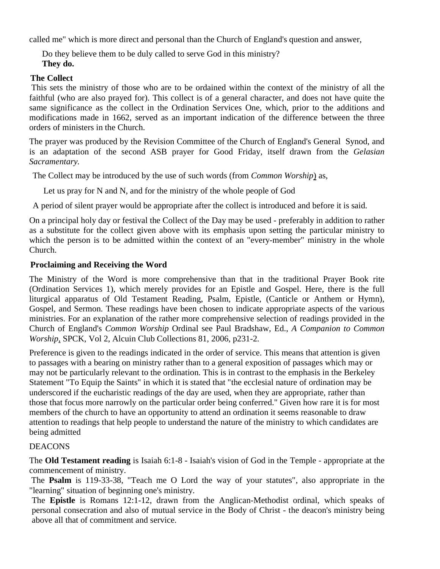called me" which is more direct and personal than the Church of England's question and answer,

Do they believe them to be duly called to serve God in this ministry? **They do.**

# **The Collect**

 This sets the ministry of those who are to be ordained within the context of the ministry of all the faithful (who are also prayed for). This collect is of a general character, and does not have quite the same significance as the collect in the Ordination Services One, which, prior to the additions and modifications made in 1662, served as an important indication of the difference between the three orders of ministers in the Church.

The prayer was produced by the Revision Committee of the Church of England's General Synod, and is an adaptation of the second ASB prayer for Good Friday, itself drawn from the *Gelasian Sacramentary.* 

The Collect may be introduced by the use of such words (from *Common Worship*) as,

Let us pray for N and N, and for the ministry of the whole people of God

A period of silent prayer would be appropriate after the collect is introduced and before it is said.

On a principal holy day or festival the Collect of the Day may be used - preferably in addition to rather as a substitute for the collect given above with its emphasis upon setting the particular ministry to which the person is to be admitted within the context of an "every-member" ministry in the whole Church.

# **Proclaiming and Receiving the Word**

The Ministry of the Word is more comprehensive than that in the traditional Prayer Book rite (Ordination Services 1), which merely provides for an Epistle and Gospel. Here, there is the full liturgical apparatus of Old Testament Reading, Psalm, Epistle, (Canticle or Anthem or Hymn), Gospel, and Sermon. These readings have been chosen to indicate appropriate aspects of the various ministries. For an explanation of the rather more comprehensive selection of readings provided in the Church of England's *Common Worship* Ordinal see Paul Bradshaw, Ed., *A Companion to Common Worship*, SPCK, Vol 2, Alcuin Club Collections 81, 2006, p231-2.

Preference is given to the readings indicated in the order of service. This means that attention is given to passages with a bearing on ministry rather than to a general exposition of passages which may or may not be particularly relevant to the ordination. This is in contrast to the emphasis in the Berkeley Statement "To Equip the Saints" in which it is stated that "the ecclesial nature of ordination may be underscored if the eucharistic readings of the day are used, when they are appropriate, rather than those that focus more narrowly on the particular order being conferred." Given how rare it is for most members of the church to have an opportunity to attend an ordination it seems reasonable to draw attention to readings that help people to understand the nature of the ministry to which candidates are being admitted

# DEACONS

The **Old Testament reading** is Isaiah 6:1-8 - Isaiah's vision of God in the Temple - appropriate at the commencement of ministry.

 The **Psalm** is 119-33-38, "Teach me O Lord the way of your statutes", also appropriate in the "learning" situation of beginning one's ministry.

The **Epistle** is Romans 12:1-12, drawn from the Anglican-Methodist ordinal, which speaks of personal consecration and also of mutual service in the Body of Christ - the deacon's ministry being above all that of commitment and service.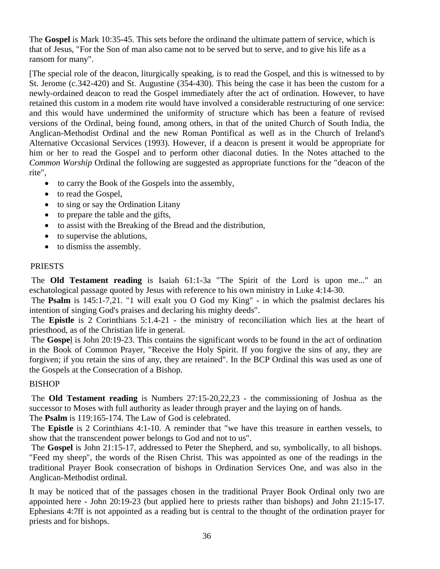The **Gospel** is Mark 10:35-45. This sets before the ordinand the ultimate pattern of service, which is that of Jesus, "For the Son of man also came not to be served but to serve, and to give his life as a ransom for many".

[The special role of the deacon, liturgically speaking, is to read the Gospel, and this is witnessed to by St. Jerome (c.342-420) and St. Augustine (354-430). This being the case it has been the custom for a newly-ordained deacon to read the Gospel immediately after the act of ordination. However, to have retained this custom in a modem rite would have involved a considerable restructuring of one service: and this would have undermined the uniformity of structure which has been a feature of revised versions of the Ordinal, being found, among others, in that of the united Church of South India, the Anglican-Methodist Ordinal and the new Roman Pontifical as well as in the Church of Ireland's Alternative Occasional Services (1993). However, if a deacon is present it would be appropriate for him or her to read the Gospel and to perform other diaconal duties. In the Notes attached to the *Common Worship* Ordinal the following are suggested as appropriate functions for the "deacon of the rite",

- to carry the Book of the Gospels into the assembly,
- to read the Gospel,
- to sing or say the Ordination Litany
- to prepare the table and the gifts,
- to assist with the Breaking of the Bread and the distribution,
- to supervise the ablutions,
- to dismiss the assembly.

# PRIESTS

 The **Old Testament reading** is Isaiah 61:1-3a "The Spirit of the Lord is upon me..." an eschatological passage quoted by Jesus with reference to his own ministry in Luke 4:14-30.

 The **Psalm** is 145:1-7,21. "1 will exalt you O God my King" - in which the psalmist declares his intention of singing God's praises and declaring his mighty deeds".

 The **Epistle** is 2 Corinthians 5:1.4-21 - the ministry of reconciliation which lies at the heart of priesthood, as of the Christian life in general.

 The **Gospe**l is John 20:19-23. This contains the significant words to be found in the act of ordination in the Book of Common Prayer, "Receive the Holy Spirit. If you forgive the sins of any, they are forgiven; if you retain the sins of any, they are retained". In the BCP Ordinal this was used as one of the Gospels at the Consecration of a Bishop.

# BISHOP

 The **Old Testament reading** is Numbers 27:15-20,22,23 - the commissioning of Joshua as the successor to Moses with full authority as leader through prayer and the laying on of hands.

The **Psalm** is 119:165-174. The Law of God is celebrated.

 The **Epistle** is 2 Corinthians 4:1-10. A reminder that "we have this treasure in earthen vessels, to show that the transcendent power belongs to God and not to us".

 The **Gospel** is John 21:15-17, addressed to Peter the Shepherd, and so, symbolically, to all bishops. "Feed my sheep", the words of the Risen Christ. This was appointed as one of the readings in the traditional Prayer Book consecration of bishops in Ordination Services One, and was also in the Anglican-Methodist ordinal.

It may be noticed that of the passages chosen in the traditional Prayer Book Ordinal only two are appointed here - John 20:19-23 (but applied here to priests rather than bishops) and John 21:15-17. Ephesians 4:7ff is not appointed as a reading but is central to the thought of the ordination prayer for priests and for bishops.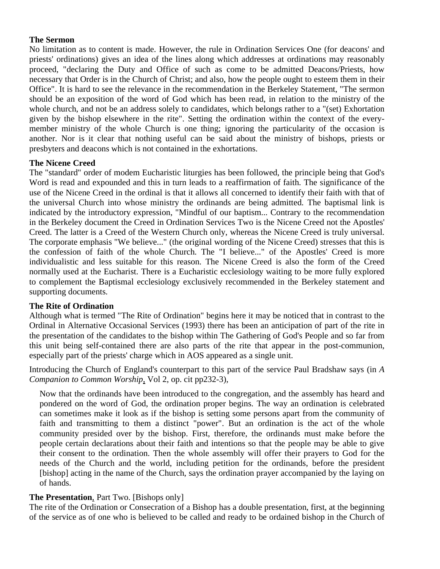# **The Sermon**

No limitation as to content is made. However, the rule in Ordination Services One (for deacons' and priests' ordinations) gives an idea of the lines along which addresses at ordinations may reasonably proceed, "declaring the Duty and Office of such as come to be admitted Deacons/Priests, how necessary that Order is in the Church of Christ; and also, how the people ought to esteem them in their Office". It is hard to see the relevance in the recommendation in the Berkeley Statement, "The sermon should be an exposition of the word of God which has been read, in relation to the ministry of the whole church, and not be an address solely to candidates, which belongs rather to a "(set) Exhortation given by the bishop elsewhere in the rite". Setting the ordination within the context of the everymember ministry of the whole Church is one thing; ignoring the particularity of the occasion is another. Nor is it clear that nothing useful can be said about the ministry of bishops, priests or presbyters and deacons which is not contained in the exhortations.

# **The Nicene Creed**

The "standard" order of modem Eucharistic liturgies has been followed, the principle being that God's Word is read and expounded and this in turn leads to a reaffirmation of faith. The significance of the use of the Nicene Creed in the ordinal is that it allows all concerned to identify their faith with that of the universal Church into whose ministry the ordinands are being admitted. The baptismal link is indicated by the introductory expression, "Mindful of our baptism... Contrary to the recommendation in the Berkeley document the Creed in Ordination Services Two is the Nicene Creed not the Apostles' Creed. The latter is a Creed of the Western Church only, whereas the Nicene Creed is truly universal. The corporate emphasis "We believe..." (the original wording of the Nicene Creed) stresses that this is the confession of faith of the whole Church. The "I believe..." of the Apostles' Creed is more individualistic and less suitable for this reason. The Nicene Creed is also the form of the Creed normally used at the Eucharist. There is a Eucharistic ecclesiology waiting to be more fully explored to complement the Baptismal ecclesiology exclusively recommended in the Berkeley statement and supporting documents.

# **The Rite of Ordination**

Although what is termed "The Rite of Ordination" begins here it may be noticed that in contrast to the Ordinal in Alternative Occasional Services (1993) there has been an anticipation of part of the rite in the presentation of the candidates to the bishop within The Gathering of God's People and so far from this unit being self-contained there are also parts of the rite that appear in the post-communion, especially part of the priests' charge which in AOS appeared as a single unit.

Introducing the Church of England's counterpart to this part of the service Paul Bradshaw says (in *A Companion to Common Worship*, Vol 2, op. cit pp232-3),

Now that the ordinands have been introduced to the congregation, and the assembly has heard and pondered on the word of God, the ordination proper begins. The way an ordination is celebrated can sometimes make it look as if the bishop is setting some persons apart from the community of faith and transmitting to them a distinct "power". But an ordination is the act of the whole community presided over by the bishop. First, therefore, the ordinands must make before the people certain declarations about their faith and intentions so that the people may be able to give their consent to the ordination. Then the whole assembly will offer their prayers to God for the needs of the Church and the world, including petition for the ordinands, before the president [bishop] acting in the name of the Church, says the ordination prayer accompanied by the laying on of hands.

# **The Presentation**, Part Two. [Bishops only]

The rite of the Ordination or Consecration of a Bishop has a double presentation, first, at the beginning of the service as of one who is believed to be called and ready to be ordained bishop in the Church of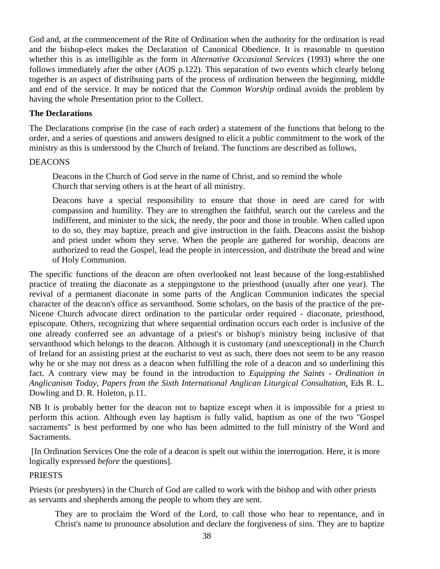God and, at the commencement of the Rite of Ordination when the authority for the ordination is read and the bishop-elect makes the Declaration of Canonical Obedience. It is reasonable to question whether this is as intelligible as the form in *Alternative Occasional Services* (1993) where the one follows immediately after the other (AOS p.122). This separation of two events which clearly belong together is an aspect of distributing parts of the process of ordination between the beginning, middle and end of the service. It may be noticed that the *Common Worship* ordinal avoids the problem by having the whole Presentation prior to the Collect.

# **The Declarations**

The Declarations comprise (in the case of each order) a statement of the functions that belong to the order, and a series of questions and answers designed to elicit a public commitment to the work of the ministry as this is understood by the Church of Ireland. The functions are described as follows,

# DEACONS

Deacons in the Church of God serve in the name of Christ, and so remind the whole Church that serving others is at the heart of all ministry.

Deacons have a special responsibility to ensure that those in need are cared for with compassion and humility. They are to strengthen the faithful, search out the careless and the indifferent, and minister to the sick, the needy, the poor and those in trouble. When called upon to do so, they may baptize, preach and give instruction in the faith. Deacons assist the bishop and priest under whom they serve. When the people are gathered for worship, deacons are authorized to read the Gospel, lead the people in intercession, and distribute the bread and wine of Holy Communion.

The specific functions of the deacon are often overlooked not least because of the long-established practice of treating the diaconate as a steppingstone to the priesthood (usually after one year). The revival of a permanent diaconate in some parts of the Anglican Communion indicates the special character of the deacon's office as servanthood. Some scholars, on the basis of the practice of the pre-Nicene Church advocate direct ordination to the particular order required - diaconate, priesthood, episcopate. Others, recognizing that where sequential ordination occurs each order is inclusive of the one already conferred see an advantage of a priest's or bishop's ministry being inclusive of that servanthood which belongs to the deacon. Although it is customary (and unexceptional) in the Church of Ireland for an assisting priest at the eucharist to vest as such, there does not seem to be any reason why he or she may not dress as a deacon when fulfilling the role of a deacon and so underlining this fact. A contrary view may be found in the introduction to *Equipping the Saints - Ordination in Anglicanism Today, Papers from the Sixth International Anglican Liturgical Consultation*, Eds R. L. Dowling and D. R. Holeton, p.11.

NB It is probably better for the deacon not to baptize except when it is impossible for a priest to perform this action. Although even lay baptism is fully valid, baptism as one of the two "Gospel sacraments" is best performed by one who has been admitted to the full ministry of the Word and Sacraments.

 [In Ordination Services One the role of a deacon is spelt out within the interrogation. Here, it is more logically expressed *before* the questions].

# PRIESTS

Priests (or presbyters) in the Church of God are called to work with the bishop and with other priests as servants and shepherds among the people to whom they are sent.

They are to proclaim the Word of the Lord, to call those who hear to repentance, and in Christ's name to pronounce absolution and declare the forgiveness of sins. They are to baptize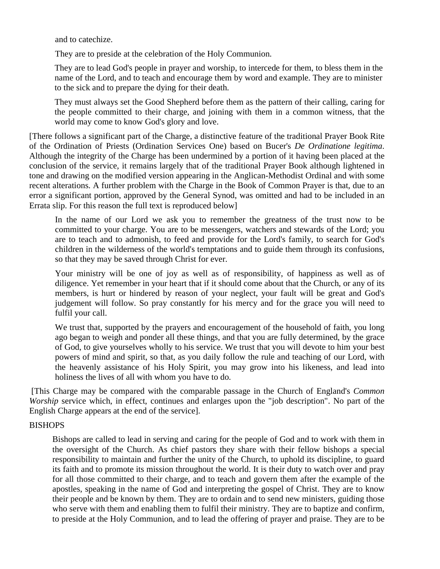and to catechize.

They are to preside at the celebration of the Holy Communion.

They are to lead God's people in prayer and worship, to intercede for them, to bless them in the name of the Lord, and to teach and encourage them by word and example. They are to minister to the sick and to prepare the dying for their death.

They must always set the Good Shepherd before them as the pattern of their calling, caring for the people committed to their charge, and joining with them in a common witness, that the world may come to know God's glory and love.

[There follows a significant part of the Charge, a distinctive feature of the traditional Prayer Book Rite of the Ordination of Priests (Ordination Services One) based on Bucer's *De Ordinatione legitima*. Although the integrity of the Charge has been undermined by a portion of it having been placed at the conclusion of the service, it remains largely that of the traditional Prayer Book although lightened in tone and drawing on the modified version appearing in the Anglican-Methodist Ordinal and with some recent alterations. A further problem with the Charge in the Book of Common Prayer is that, due to an error a significant portion, approved by the General Synod, was omitted and had to be included in an Errata slip. For this reason the full text is reproduced below]

In the name of our Lord we ask you to remember the greatness of the trust now to be committed to your charge. You are to be messengers, watchers and stewards of the Lord; you are to teach and to admonish, to feed and provide for the Lord's family, to search for God's children in the wilderness of the world's temptations and to guide them through its confusions, so that they may be saved through Christ for ever.

Your ministry will be one of joy as well as of responsibility, of happiness as well as of diligence. Yet remember in your heart that if it should come about that the Church, or any of its members, is hurt or hindered by reason of your neglect, your fault will be great and God's judgement will follow. So pray constantly for his mercy and for the grace you will need to fulfil your call.

We trust that, supported by the prayers and encouragement of the household of faith, you long ago began to weigh and ponder all these things, and that you are fully determined, by the grace of God, to give yourselves wholly to his service. We trust that you will devote to him your best powers of mind and spirit, so that, as you daily follow the rule and teaching of our Lord, with the heavenly assistance of his Holy Spirit, you may grow into his likeness, and lead into holiness the lives of all with whom you have to do.

 [This Charge may be compared with the comparable passage in the Church of England's *Common Worship* service which, in effect, continues and enlarges upon the "job description". No part of the English Charge appears at the end of the service].

# BISHOPS

Bishops are called to lead in serving and caring for the people of God and to work with them in the oversight of the Church. As chief pastors they share with their fellow bishops a special responsibility to maintain and further the unity of the Church, to uphold its discipline, to guard its faith and to promote its mission throughout the world. It is their duty to watch over and pray for all those committed to their charge, and to teach and govern them after the example of the apostles, speaking in the name of God and interpreting the gospel of Christ. They are to know their people and be known by them. They are to ordain and to send new ministers, guiding those who serve with them and enabling them to fulfil their ministry. They are to baptize and confirm, to preside at the Holy Communion, and to lead the offering of prayer and praise. They are to be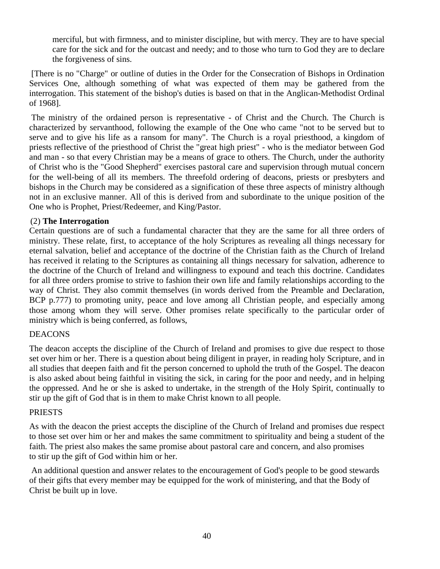merciful, but with firmness, and to minister discipline, but with mercy. They are to have special care for the sick and for the outcast and needy; and to those who turn to God they are to declare the forgiveness of sins.

 [There is no "Charge" or outline of duties in the Order for the Consecration of Bishops in Ordination Services One, although something of what was expected of them may be gathered from the interrogation. This statement of the bishop's duties is based on that in the Anglican-Methodist Ordinal of 1968].

 The ministry of the ordained person is representative - of Christ and the Church. The Church is characterized by servanthood, following the example of the One who came "not to be served but to serve and to give his life as a ransom for many". The Church is a royal priesthood, a kingdom of priests reflective of the priesthood of Christ the "great high priest" - who is the mediator between God and man - so that every Christian may be a means of grace to others. The Church, under the authority of Christ who is the "Good Shepherd" exercises pastoral care and supervision through mutual concern for the well-being of all its members. The threefold ordering of deacons, priests or presbyters and bishops in the Church may be considered as a signification of these three aspects of ministry although not in an exclusive manner. All of this is derived from and subordinate to the unique position of the One who is Prophet, Priest/Redeemer, and King/Pastor.

# (2) **The Interrogation**

Certain questions are of such a fundamental character that they are the same for all three orders of ministry. These relate, first, to acceptance of the holy Scriptures as revealing all things necessary for eternal salvation, belief and acceptance of the doctrine of the Christian faith as the Church of Ireland has received it relating to the Scriptures as containing all things necessary for salvation, adherence to the doctrine of the Church of Ireland and willingness to expound and teach this doctrine. Candidates for all three orders promise to strive to fashion their own life and family relationships according to the way of Christ. They also commit themselves (in words derived from the Preamble and Declaration, BCP p.777) to promoting unity, peace and love among all Christian people, and especially among those among whom they will serve. Other promises relate specifically to the particular order of ministry which is being conferred, as follows,

# DEACONS

The deacon accepts the discipline of the Church of Ireland and promises to give due respect to those set over him or her. There is a question about being diligent in prayer, in reading holy Scripture, and in all studies that deepen faith and fit the person concerned to uphold the truth of the Gospel. The deacon is also asked about being faithful in visiting the sick, in caring for the poor and needy, and in helping the oppressed. And he or she is asked to undertake, in the strength of the Holy Spirit, continually to stir up the gift of God that is in them to make Christ known to all people.

# PRIESTS

As with the deacon the priest accepts the discipline of the Church of Ireland and promises due respect to those set over him or her and makes the same commitment to spirituality and being a student of the faith. The priest also makes the same promise about pastoral care and concern, and also promises to stir up the gift of God within him or her.

 An additional question and answer relates to the encouragement of God's people to be good stewards of their gifts that every member may be equipped for the work of ministering, and that the Body of Christ be built up in love.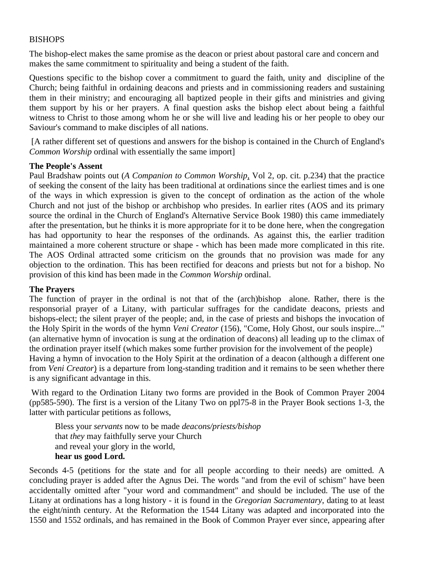# **BISHOPS**

The bishop-elect makes the same promise as the deacon or priest about pastoral care and concern and makes the same commitment to spirituality and being a student of the faith.

Questions specific to the bishop cover a commitment to guard the faith, unity and discipline of the Church; being faithful in ordaining deacons and priests and in commissioning readers and sustaining them in their ministry; and encouraging all baptized people in their gifts and ministries and giving them support by his or her prayers. A final question asks the bishop elect about being a faithful witness to Christ to those among whom he or she will live and leading his or her people to obey our Saviour's command to make disciples of all nations.

 [A rather different set of questions and answers for the bishop is contained in the Church of England's *Common Worship* ordinal with essentially the same import]

# **The People's Assent**

Paul Bradshaw points out (*A Companion to Common Worship*, Vol 2, op. cit. p.234) that the practice of seeking the consent of the laity has been traditional at ordinations since the earliest times and is one of the ways in which expression is given to the concept of ordination as the action of the whole Church and not just of the bishop or archbishop who presides. In earlier rites (AOS and its primary source the ordinal in the Church of England's Alternative Service Book 1980) this came immediately after the presentation, but he thinks it is more appropriate for it to be done here, when the congregation has had opportunity to hear the responses of the ordinands. As against this, the earlier tradition maintained a more coherent structure or shape - which has been made more complicated in this rite. The AOS Ordinal attracted some criticism on the grounds that no provision was made for any objection to the ordination. This has been rectified for deacons and priests but not for a bishop. No provision of this kind has been made in the *Common Worship* ordinal.

# **The Prayers**

The function of prayer in the ordinal is not that of the (arch)bishop alone. Rather, there is the responsorial prayer of a Litany, with particular suffrages for the candidate deacons, priests and bishops-elect; the silent prayer of the people; and, in the case of priests and bishops the invocation of the Holy Spirit in the words of the hymn *Veni Creator* (156), "Come, Holy Ghost, our souls inspire..." (an alternative hymn of invocation is sung at the ordination of deacons) all leading up to the climax of the ordination prayer itself (which makes some further provision for the involvement of the people) Having a hymn of invocation to the Holy Spirit at the ordination of a deacon (although a different one from *Veni Creator*) is a departure from long-standing tradition and it remains to be seen whether there is any significant advantage in this.

 With regard to the Ordination Litany two forms are provided in the Book of Common Prayer 2004 (pp585-590). The first is a version of the Litany Two on ppl75-8 in the Prayer Book sections 1-3, the latter with particular petitions as follows,

Bless your *servants* now to be made *deacons/priests/bishop*  that *they* may faithfully serve your Church and reveal your glory in the world, **hear us good Lord.** 

Seconds 4-5 (petitions for the state and for all people according to their needs) are omitted. A concluding prayer is added after the Agnus Dei. The words "and from the evil of schism" have been accidentally omitted after "your word and commandment" and should be included. The use of the Litany at ordinations has a long history - it is found in the *Gregorian Sacramentary*, dating to at least the eight/ninth century. At the Reformation the 1544 Litany was adapted and incorporated into the 1550 and 1552 ordinals, and has remained in the Book of Common Prayer ever since, appearing after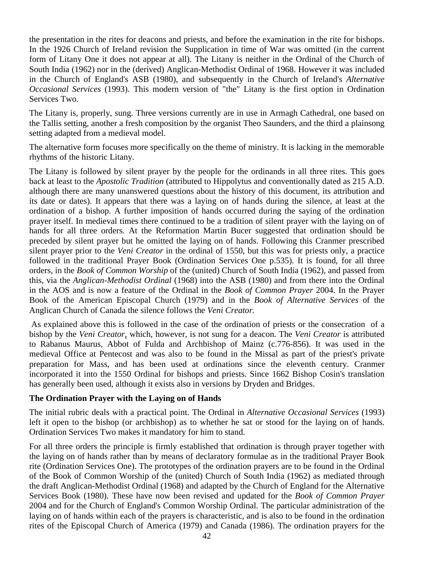the presentation in the rites for deacons and priests, and before the examination in the rite for bishops. In the 1926 Church of Ireland revision the Supplication in time of War was omitted (in the current form of Litany One it does not appear at all). The Litany is neither in the Ordinal of the Church of South India (1962) nor in the (derived) Anglican-Methodist Ordinal of 1968. However it was included in the Church of England's ASB (1980), and subsequently in the Church of Ireland's *Alternative Occasional Services* (1993). This modern version of "the" Litany is the first option in Ordination Services Two.

The Litany is, properly, sung. Three versions currently are in use in Armagh Cathedral, one based on the Tallis setting, another a fresh composition by the organist Theo Saunders, and the third a plainsong setting adapted from a medieval model.

The alternative form focuses more specifically on the theme of ministry. It is lacking in the memorable rhythms of the historic Litany.

The Litany is followed by silent prayer by the people for the ordinands in all three rites. This goes back at least to the *Apostolic Tradition* (attributed to Hippolytus and conventionally dated as 215 A.D. although there are many unanswered questions about the history of this document, its attribution and its date or dates). It appears that there was a laying on of hands during the silence, at least at the ordination of a bishop. A further imposition of hands occurred during the saying of the ordination prayer itself. In medieval times there continued to be a tradition of silent prayer with the laying on of hands for all three orders. At the Reformation Martin Bucer suggested that ordination should be preceded by silent prayer but he omitted the laying on of hands. Following this Cranmer prescribed silent prayer prior to the *Veni Creator* in the ordinal of 1550, but this was for priests only, a practice followed in the traditional Prayer Book (Ordination Services One p.535). It is found, for all three orders, in the *Book of Common Worship* of the (united) Church of South India (1962), and passed from this, via the *Anglican-Methodist Ordinal* (1968) into the ASB (1980) and from there into the Ordinal in the AOS and is now a feature of the Ordinal in the *Book of Common Prayer* 2004. In the Prayer Book of the American Episcopal Church (1979) and in the *Book of Alternative Services* of the Anglican Church of Canada the silence follows the *Veni Creator.*

 As explained above this is followed in the case of the ordination of priests or the consecration of a bishop by the *Veni Creator*, which, however, is not sung for a deacon. The *Veni Creator* is attributed to Rabanus Maurus, Abbot of Fulda and Archbishop of Mainz (c.776-856). It was used in the medieval Office at Pentecost and was also to be found in the Missal as part of the priest's private preparation for Mass, and has been used at ordinations since the eleventh century. Cranmer incorporated it into the 1550 Ordinal for bishops and priests. Since 1662 Bishop Cosin's translation has generally been used, although it exists also in versions by Dryden and Bridges.

# **The Ordination Prayer with the Laying on of Hands**

The initial rubric deals with a practical point. The Ordinal in *Alternative Occasional Services* (1993) left it open to the bishop (or archbishop) as to whether he sat or stood for the laying on of hands. Ordination Services Two makes it mandatory for him to stand.

For all three orders the principle is firmly established that ordination is through prayer together with the laying on of hands rather than by means of declaratory formulae as in the traditional Prayer Book rite (Ordination Services One). The prototypes of the ordination prayers are to be found in the Ordinal of the Book of Common Worship of the (united) Church of South India (1962) as mediated through the draft Anglican-Methodist Ordinal (1968) and adapted by the Church of England for the Alternative Services Book (1980). These have now been revised and updated for the *Book of Common Prayer* 2004 and for the Church of England's Common Worship Ordinal. The particular administration of the laying on of hands within each of the prayers is characteristic, and is also to be found in the ordination rites of the Episcopal Church of America (1979) and Canada (1986). The ordination prayers for the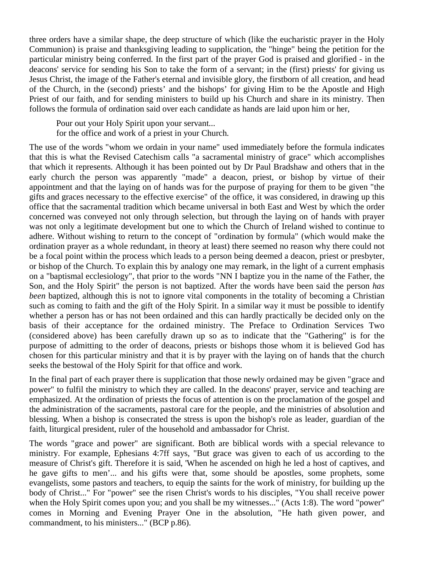three orders have a similar shape, the deep structure of which (like the eucharistic prayer in the Holy Communion) is praise and thanksgiving leading to supplication, the "hinge" being the petition for the particular ministry being conferred. In the first part of the prayer God is praised and glorified - in the deacons' service for sending his Son to take the form of a servant; in the (first) priests' for giving us Jesus Christ, the image of the Father's eternal and invisible glory, the firstborn of all creation, and head of the Church, in the (second) priests' and the bishops' for giving Him to be the Apostle and High Priest of our faith, and for sending ministers to build up his Church and share in its ministry. Then follows the formula of ordination said over each candidate as hands are laid upon him or her,

Pour out your Holy Spirit upon your servant... for the office and work of a priest in your Church.

The use of the words "whom we ordain in your name" used immediately before the formula indicates that this is what the Revised Catechism calls "a sacramental ministry of grace" which accomplishes that which it represents. Although it has been pointed out by Dr Paul Bradshaw and others that in the early church the person was apparently "made" a deacon, priest, or bishop by virtue of their appointment and that the laying on of hands was for the purpose of praying for them to be given "the gifts and graces necessary to the effective exercise" of the office, it was considered, in drawing up this office that the sacramental tradition which became universal in both East and West by which the order concerned was conveyed not only through selection, but through the laying on of hands with prayer was not only a legitimate development but one to which the Church of Ireland wished to continue to adhere. Without wishing to return to the concept of "ordination by formula" (which would make the ordination prayer as a whole redundant, in theory at least) there seemed no reason why there could not be a focal point within the process which leads to a person being deemed a deacon, priest or presbyter, or bishop of the Church. To explain this by analogy one may remark, in the light of a current emphasis on a "baptismal ecclesiology", that prior to the words "NN I baptize you in the name of the Father, the Son, and the Holy Spirit" the person is not baptized. After the words have been said the person *has been* baptized, although this is not to ignore vital components in the totality of becoming a Christian such as coming to faith and the gift of the Holy Spirit. In a similar way it must be possible to identify whether a person has or has not been ordained and this can hardly practically be decided only on the basis of their acceptance for the ordained ministry. The Preface to Ordination Services Two (considered above) has been carefully drawn up so as to indicate that the "Gathering" is for the purpose of admitting to the order of deacons, priests or bishops those whom it is believed God has chosen for this particular ministry and that it is by prayer with the laying on of hands that the church seeks the bestowal of the Holy Spirit for that office and work.

In the final part of each prayer there is supplication that those newly ordained may be given "grace and power" to fulfil the ministry to which they are called. In the deacons' prayer, service and teaching are emphasized. At the ordination of priests the focus of attention is on the proclamation of the gospel and the administration of the sacraments, pastoral care for the people, and the ministries of absolution and blessing. When a bishop is consecrated the stress is upon the bishop's role as leader, guardian of the faith, liturgical president, ruler of the household and ambassador for Christ.

The words "grace and power" are significant. Both are biblical words with a special relevance to ministry. For example, Ephesians 4:7ff says, "But grace was given to each of us according to the measure of Christ's gift. Therefore it is said, 'When he ascended on high he led a host of captives, and he gave gifts to men'... and his gifts were that, some should be apostles, some prophets, some evangelists, some pastors and teachers, to equip the saints for the work of ministry, for building up the body of Christ..." For "power" see the risen Christ's words to his disciples, "You shall receive power when the Holy Spirit comes upon you; and you shall be my witnesses..." (Acts 1:8). The word "power" comes in Morning and Evening Prayer One in the absolution, "He hath given power, and commandment, to his ministers..." (BCP p.86).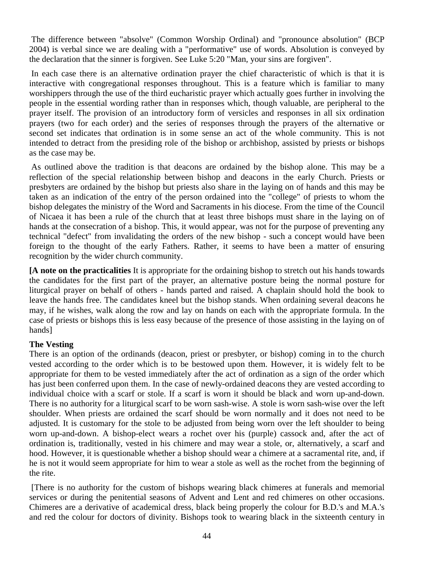The difference between "absolve" (Common Worship Ordinal) and "pronounce absolution" (BCP 2004) is verbal since we are dealing with a "performative" use of words. Absolution is conveyed by the declaration that the sinner is forgiven. See Luke 5:20 "Man, your sins are forgiven".

 In each case there is an alternative ordination prayer the chief characteristic of which is that it is interactive with congregational responses throughout. This is a feature which is familiar to many worshippers through the use of the third eucharistic prayer which actually goes further in involving the people in the essential wording rather than in responses which, though valuable, are peripheral to the prayer itself. The provision of an introductory form of versicles and responses in all six ordination prayers (two for each order) and the series of responses through the prayers of the alternative or second set indicates that ordination is in some sense an act of the whole community. This is not intended to detract from the presiding role of the bishop or archbishop, assisted by priests or bishops as the case may be.

 As outlined above the tradition is that deacons are ordained by the bishop alone. This may be a reflection of the special relationship between bishop and deacons in the early Church. Priests or presbyters are ordained by the bishop but priests also share in the laying on of hands and this may be taken as an indication of the entry of the person ordained into the "college" of priests to whom the bishop delegates the ministry of the Word and Sacraments in his diocese. From the time of the Council of Nicaea it has been a rule of the church that at least three bishops must share in the laying on of hands at the consecration of a bishop. This, it would appear, was not for the purpose of preventing any technical "defect" from invalidating the orders of the new bishop - such a concept would have been foreign to the thought of the early Fathers. Rather, it seems to have been a matter of ensuring recognition by the wider church community.

**[A note on the practicalities** It is appropriate for the ordaining bishop to stretch out his hands towards the candidates for the first part of the prayer, an alternative posture being the normal posture for liturgical prayer on behalf of others - hands parted and raised. A chaplain should hold the book to leave the hands free. The candidates kneel but the bishop stands. When ordaining several deacons he may, if he wishes, walk along the row and lay on hands on each with the appropriate formula. In the case of priests or bishops this is less easy because of the presence of those assisting in the laying on of hands]

# **The Vesting**

There is an option of the ordinands (deacon, priest or presbyter, or bishop) coming in to the church vested according to the order which is to be bestowed upon them. However, it is widely felt to be appropriate for them to be vested immediately after the act of ordination as a sign of the order which has just been conferred upon them. In the case of newly-ordained deacons they are vested according to individual choice with a scarf or stole. If a scarf is worn it should be black and worn up-and-down. There is no authority for a liturgical scarf to be worn sash-wise. A stole is worn sash-wise over the left shoulder. When priests are ordained the scarf should be worn normally and it does not need to be adjusted. It is customary for the stole to be adjusted from being worn over the left shoulder to being worn up-and-down. A bishop-elect wears a rochet over his (purple) cassock and, after the act of ordination is, traditionally, vested in his chimere and may wear a stole, or, alternatively, a scarf and hood. However, it is questionable whether a bishop should wear a chimere at a sacramental rite, and, if he is not it would seem appropriate for him to wear a stole as well as the rochet from the beginning of the rite.

 [There is no authority for the custom of bishops wearing black chimeres at funerals and memorial services or during the penitential seasons of Advent and Lent and red chimeres on other occasions. Chimeres are a derivative of academical dress, black being properly the colour for B.D.'s and M.A.'s and red the colour for doctors of divinity. Bishops took to wearing black in the sixteenth century in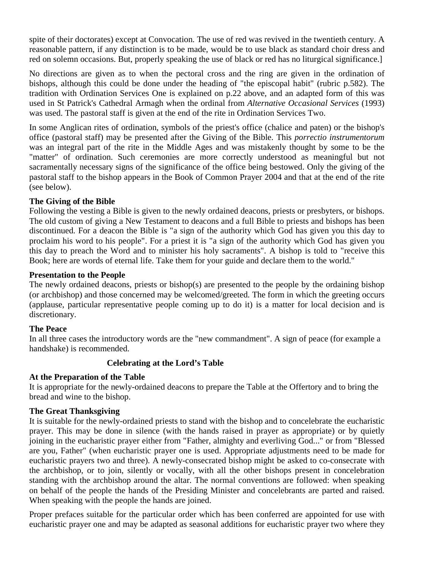spite of their doctorates) except at Convocation. The use of red was revived in the twentieth century. A reasonable pattern, if any distinction is to be made, would be to use black as standard choir dress and red on solemn occasions. But, properly speaking the use of black or red has no liturgical significance.]

No directions are given as to when the pectoral cross and the ring are given in the ordination of bishops, although this could be done under the heading of "the episcopal habit" (rubric p.582). The tradition with Ordination Services One is explained on p.22 above, and an adapted form of this was used in St Patrick's Cathedral Armagh when the ordinal from *Alternative Occasional Services* (1993) was used. The pastoral staff is given at the end of the rite in Ordination Services Two.

In some Anglican rites of ordination, symbols of the priest's office (chalice and paten) or the bishop's office (pastoral staff) may be presented after the Giving of the Bible. This *porrectio instrumentorum* was an integral part of the rite in the Middle Ages and was mistakenly thought by some to be the "matter" of ordination. Such ceremonies are more correctly understood as meaningful but not sacramentally necessary signs of the significance of the office being bestowed. Only the giving of the pastoral staff to the bishop appears in the Book of Common Prayer 2004 and that at the end of the rite (see below).

# **The Giving of the Bible**

Following the vesting a Bible is given to the newly ordained deacons, priests or presbyters, or bishops. The old custom of giving a New Testament to deacons and a full Bible to priests and bishops has been discontinued. For a deacon the Bible is "a sign of the authority which God has given you this day to proclaim his word to his people". For a priest it is "a sign of the authority which God has given you this day to preach the Word and to minister his holy sacraments". A bishop is told to "receive this Book; here are words of eternal life. Take them for your guide and declare them to the world."

# **Presentation to the People**

The newly ordained deacons, priests or bishop(s) are presented to the people by the ordaining bishop (or archbishop) and those concerned may be welcomed/greeted. The form in which the greeting occurs (applause, particular representative people coming up to do it) is a matter for local decision and is discretionary.

# **The Peace**

In all three cases the introductory words are the "new commandment". A sign of peace (for example a handshake) is recommended.

# **Celebrating at the Lord's Table**

# **At the Preparation of the Table**

It is appropriate for the newly-ordained deacons to prepare the Table at the Offertory and to bring the bread and wine to the bishop.

# **The Great Thanksgiving**

It is suitable for the newly-ordained priests to stand with the bishop and to concelebrate the eucharistic prayer. This may be done in silence (with the hands raised in prayer as appropriate) or by quietly joining in the eucharistic prayer either from "Father, almighty and everliving God..." or from "Blessed are you, Father" (when eucharistic prayer one is used. Appropriate adjustments need to be made for eucharistic prayers two and three). A newly-consecrated bishop might be asked to co-consecrate with the archbishop, or to join, silently or vocally, with all the other bishops present in concelebration standing with the archbishop around the altar. The normal conventions are followed: when speaking on behalf of the people the hands of the Presiding Minister and concelebrants are parted and raised. When speaking with the people the hands are joined.

Proper prefaces suitable for the particular order which has been conferred are appointed for use with eucharistic prayer one and may be adapted as seasonal additions for eucharistic prayer two where they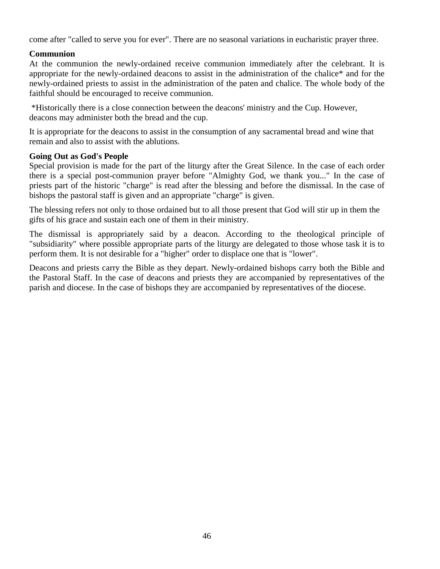come after "called to serve you for ever". There are no seasonal variations in eucharistic prayer three.

# **Communion**

At the communion the newly-ordained receive communion immediately after the celebrant. It is appropriate for the newly-ordained deacons to assist in the administration of the chalice\* and for the newly-ordained priests to assist in the administration of the paten and chalice. The whole body of the faithful should be encouraged to receive communion.

 \*Historically there is a close connection between the deacons' ministry and the Cup. However, deacons may administer both the bread and the cup.

It is appropriate for the deacons to assist in the consumption of any sacramental bread and wine that remain and also to assist with the ablutions.

# **Going Out as God's People**

Special provision is made for the part of the liturgy after the Great Silence. In the case of each order there is a special post-communion prayer before "Almighty God, we thank you..." In the case of priests part of the historic "charge" is read after the blessing and before the dismissal. In the case of bishops the pastoral staff is given and an appropriate "charge" is given.

The blessing refers not only to those ordained but to all those present that God will stir up in them the gifts of his grace and sustain each one of them in their ministry.

The dismissal is appropriately said by a deacon. According to the theological principle of "subsidiarity" where possible appropriate parts of the liturgy are delegated to those whose task it is to perform them. It is not desirable for a "higher" order to displace one that is "lower".

Deacons and priests carry the Bible as they depart. Newly-ordained bishops carry both the Bible and the Pastoral Staff. In the case of deacons and priests they are accompanied by representatives of the parish and diocese. In the case of bishops they are accompanied by representatives of the diocese.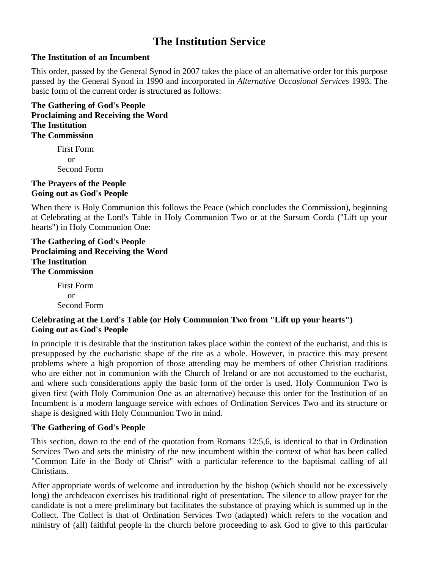# **The Institution Service**

# **The Institution of an Incumbent**

This order, passed by the General Synod in 2007 takes the place of an alternative order for this purpose passed by the General Synod in 1990 and incorporated in *Alternative Occasional Services* 1993. The basic form of the current order is structured as follows:

**The Gathering of God's People Proclaiming and Receiving the Word The Institution The Commission** 

> First Form or Second Form

# **The Prayers of the People Going out as God's People**

When there is Holy Communion this follows the Peace (which concludes the Commission), beginning at Celebrating at the Lord's Table in Holy Communion Two or at the Sursum Corda ("Lift up your hearts") in Holy Communion One:

# **The Gathering of God's People Proclaiming and Receiving the Word The Institution The Commission**

First Form or Second Form

# **Celebrating at the Lord's Table (or Holy Communion Two from "Lift up your hearts") Going out as God's People**

In principle it is desirable that the institution takes place within the context of the eucharist, and this is presupposed by the eucharistic shape of the rite as a whole. However, in practice this may present problems where a high proportion of those attending may be members of other Christian traditions who are either not in communion with the Church of Ireland or are not accustomed to the eucharist, and where such considerations apply the basic form of the order is used. Holy Communion Two is given first (with Holy Communion One as an alternative) because this order for the Institution of an Incumbent is a modern language service with echoes of Ordination Services Two and its structure or shape is designed with Holy Communion Two in mind.

# **The Gathering of God's People**

This section, down to the end of the quotation from Romans 12:5,6, is identical to that in Ordination Services Two and sets the ministry of the new incumbent within the context of what has been called "Common Life in the Body of Christ" with a particular reference to the baptismal calling of all Christians.

After appropriate words of welcome and introduction by the bishop (which should not be excessively long) the archdeacon exercises his traditional right of presentation. The silence to allow prayer for the candidate is not a mere preliminary but facilitates the substance of praying which is summed up in the Collect. The Collect is that of Ordination Services Two (adapted) which refers to the vocation and ministry of (all) faithful people in the church before proceeding to ask God to give to this particular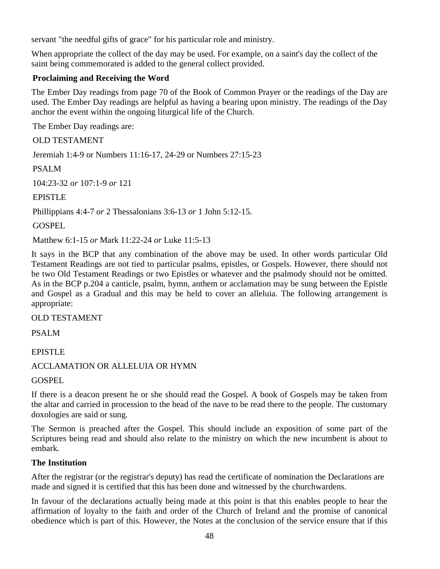servant "the needful gifts of grace" for his particular role and ministry.

When appropriate the collect of the day may be used. For example, on a saint's day the collect of the saint being commemorated is added to the general collect provided.

# **Proclaiming and Receiving the Word**

The Ember Day readings from page 70 of the Book of Common Prayer or the readings of the Day are used. The Ember Day readings are helpful as having a bearing upon ministry. The readings of the Day anchor the event within the ongoing liturgical life of the Church.

The Ember Day readings are:

OLD TESTAMENT

Jeremiah 1:4-9 or Numbers 11:16-17, 24-29 or Numbers 27:15-23

PSALM

104:23-32 *or* 107:1-9 *or* 121

EPISTLE

Phillippians 4:4-7 *or* 2 Thessalonians 3:6-13 *or* 1 John 5:12-15.

GOSPEL

Matthew 6:1-15 *or* Mark 11:22-24 *or* Luke 11:5-13

It says in the BCP that any combination of the above may be used. In other words particular Old Testament Readings are not tied to particular psalms, epistles, or Gospels. However, there should not be two Old Testament Readings or two Epistles or whatever and the psalmody should not be omitted. As in the BCP p.204 a canticle, psalm, hymn, anthem or acclamation may be sung between the Epistle and Gospel as a Gradual and this may be held to cover an alleluia. The following arrangement is appropriate:

OLD TESTAMENT

PSALM

EPISTLE

# ACCLAMATION OR ALLELUIA OR HYMN

**GOSPEL** 

If there is a deacon present he or she should read the Gospel. A book of Gospels may be taken from the altar and carried in procession to the head of the nave to be read there to the people. The customary doxologies are said or sung.

The Sermon is preached after the Gospel. This should include an exposition of some part of the Scriptures being read and should also relate to the ministry on which the new incumbent is about to embark.

# **The Institution**

After the registrar (or the registrar's deputy) has read the certificate of nomination the Declarations are made and signed it is certified that this has been done and witnessed by the churchwardens.

In favour of the declarations actually being made at this point is that this enables people to hear the affirmation of loyalty to the faith and order of the Church of Ireland and the promise of canonical obedience which is part of this. However, the Notes at the conclusion of the service ensure that if this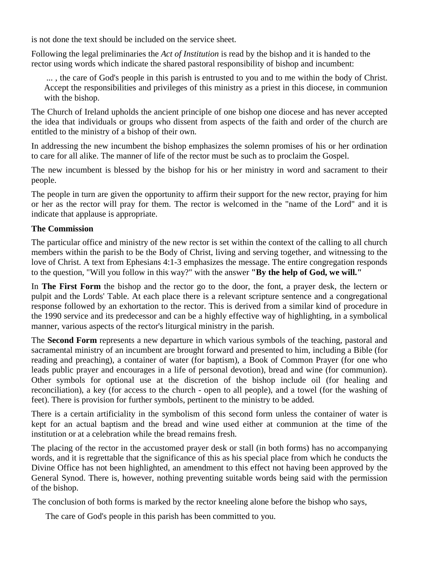is not done the text should be included on the service sheet.

Following the legal preliminaries the *Act of Institution* is read by the bishop and it is handed to the rector using words which indicate the shared pastoral responsibility of bishop and incumbent:

 ... , the care of God's people in this parish is entrusted to you and to me within the body of Christ. Accept the responsibilities and privileges of this ministry as a priest in this diocese, in communion with the bishop.

The Church of Ireland upholds the ancient principle of one bishop one diocese and has never accepted the idea that individuals or groups who dissent from aspects of the faith and order of the church are entitled to the ministry of a bishop of their own.

In addressing the new incumbent the bishop emphasizes the solemn promises of his or her ordination to care for all alike. The manner of life of the rector must be such as to proclaim the Gospel.

The new incumbent is blessed by the bishop for his or her ministry in word and sacrament to their people.

The people in turn are given the opportunity to affirm their support for the new rector, praying for him or her as the rector will pray for them. The rector is welcomed in the "name of the Lord" and it is indicate that applause is appropriate.

# **The Commission**

The particular office and ministry of the new rector is set within the context of the calling to all church members within the parish to be the Body of Christ, living and serving together, and witnessing to the love of Christ. A text from Ephesians 4:1-3 emphasizes the message. The entire congregation responds to the question, "Will you follow in this way?" with the answer **"By the help of God, we will."**

In **The First Form** the bishop and the rector go to the door, the font, a prayer desk, the lectern or pulpit and the Lords' Table. At each place there is a relevant scripture sentence and a congregational response followed by an exhortation to the rector. This is derived from a similar kind of procedure in the 1990 service and its predecessor and can be a highly effective way of highlighting, in a symbolical manner, various aspects of the rector's liturgical ministry in the parish.

The **Second Form** represents a new departure in which various symbols of the teaching, pastoral and sacramental ministry of an incumbent are brought forward and presented to him, including a Bible (for reading and preaching), a container of water (for baptism), a Book of Common Prayer (for one who leads public prayer and encourages in a life of personal devotion), bread and wine (for communion). Other symbols for optional use at the discretion of the bishop include oil (for healing and reconciliation), a key (for access to the church - open to all people), and a towel (for the washing of feet). There is provision for further symbols, pertinent to the ministry to be added.

There is a certain artificiality in the symbolism of this second form unless the container of water is kept for an actual baptism and the bread and wine used either at communion at the time of the institution or at a celebration while the bread remains fresh.

The placing of the rector in the accustomed prayer desk or stall (in both forms) has no accompanying words, and it is regrettable that the significance of this as his special place from which he conducts the Divine Office has not been highlighted, an amendment to this effect not having been approved by the General Synod. There is, however, nothing preventing suitable words being said with the permission of the bishop.

The conclusion of both forms is marked by the rector kneeling alone before the bishop who says,

The care of God's people in this parish has been committed to you.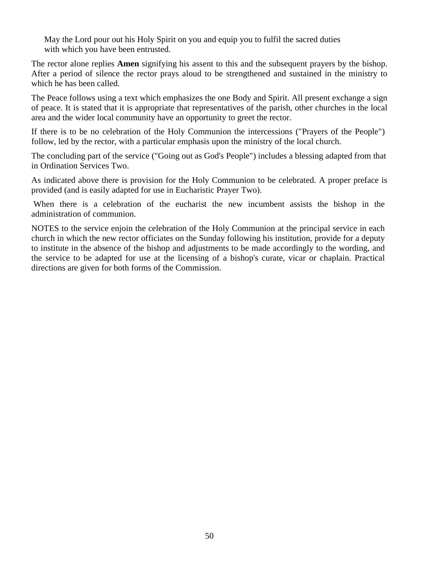May the Lord pour out his Holy Spirit on you and equip you to fulfil the sacred duties with which you have been entrusted.

The rector alone replies **Amen** signifying his assent to this and the subsequent prayers by the bishop. After a period of silence the rector prays aloud to be strengthened and sustained in the ministry to which he has been called.

The Peace follows using a text which emphasizes the one Body and Spirit. All present exchange a sign of peace. It is stated that it is appropriate that representatives of the parish, other churches in the local area and the wider local community have an opportunity to greet the rector.

If there is to be no celebration of the Holy Communion the intercessions ("Prayers of the People") follow, led by the rector, with a particular emphasis upon the ministry of the local church.

The concluding part of the service ("Going out as God's People") includes a blessing adapted from that in Ordination Services Two.

As indicated above there is provision for the Holy Communion to be celebrated. A proper preface is provided (and is easily adapted for use in Eucharistic Prayer Two).

 When there is a celebration of the eucharist the new incumbent assists the bishop in the administration of communion.

NOTES to the service enjoin the celebration of the Holy Communion at the principal service in each church in which the new rector officiates on the Sunday following his institution, provide for a deputy to institute in the absence of the bishop and adjustments to be made accordingly to the wording, and the service to be adapted for use at the licensing of a bishop's curate, vicar or chaplain. Practical directions are given for both forms of the Commission.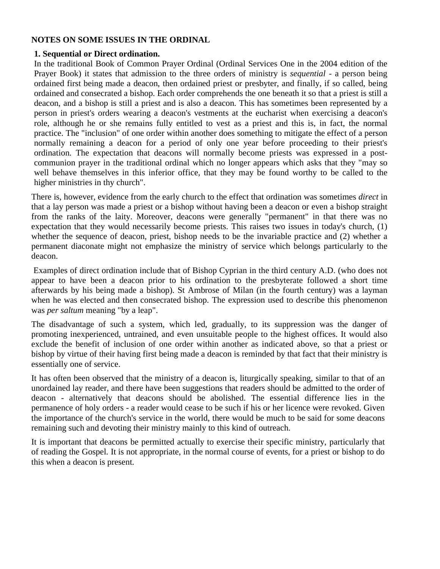# **NOTES ON SOME ISSUES IN THE ORDINAL**

# **1. Sequential or Direct ordination.**

In the traditional Book of Common Prayer Ordinal (Ordinal Services One in the 2004 edition of the Prayer Book) it states that admission to the three orders of ministry is *sequential* - a person being ordained first being made a deacon, then ordained priest or presbyter, and finally, if so called, being ordained and consecrated a bishop. Each order comprehends the one beneath it so that a priest is still a deacon, and a bishop is still a priest and is also a deacon. This has sometimes been represented by a person in priest's orders wearing a deacon's vestments at the eucharist when exercising a deacon's role, although he or she remains fully entitled to vest as a priest and this is, in fact, the normal practice. The "inclusion" of one order within another does something to mitigate the effect of a person normally remaining a deacon for a period of only one year before proceeding to their priest's ordination. The expectation that deacons will normally become priests was expressed in a postcommunion prayer in the traditional ordinal which no longer appears which asks that they "may so well behave themselves in this inferior office, that they may be found worthy to be called to the higher ministries in thy church".

There is, however, evidence from the early church to the effect that ordination was sometimes *direct* in that a lay person was made a priest or a bishop without having been a deacon or even a bishop straight from the ranks of the laity. Moreover, deacons were generally "permanent" in that there was no expectation that they would necessarily become priests. This raises two issues in today's church, (1) whether the sequence of deacon, priest, bishop needs to be the invariable practice and (2) whether a permanent diaconate might not emphasize the ministry of service which belongs particularly to the deacon.

 Examples of direct ordination include that of Bishop Cyprian in the third century A.D. (who does not appear to have been a deacon prior to his ordination to the presbyterate followed a short time afterwards by his being made a bishop). St Ambrose of Milan (in the fourth century) was a layman when he was elected and then consecrated bishop. The expression used to describe this phenomenon was *per saltum* meaning "by a leap".

The disadvantage of such a system, which led, gradually, to its suppression was the danger of promoting inexperienced, untrained, and even unsuitable people to the highest offices. It would also exclude the benefit of inclusion of one order within another as indicated above, so that a priest or bishop by virtue of their having first being made a deacon is reminded by that fact that their ministry is essentially one of service.

It has often been observed that the ministry of a deacon is, liturgically speaking, similar to that of an unordained lay reader, and there have been suggestions that readers should be admitted to the order of deacon - alternatively that deacons should be abolished. The essential difference lies in the permanence of holy orders - a reader would cease to be such if his or her licence were revoked. Given the importance of the church's service in the world, there would be much to be said for some deacons remaining such and devoting their ministry mainly to this kind of outreach.

It is important that deacons be permitted actually to exercise their specific ministry, particularly that of reading the Gospel. It is not appropriate, in the normal course of events, for a priest or bishop to do this when a deacon is present.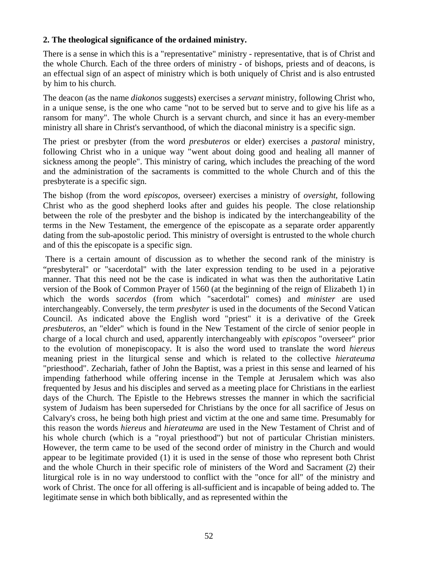# **2. The theological significance of the ordained ministry.**

There is a sense in which this is a "representative" ministry - representative, that is of Christ and the whole Church. Each of the three orders of ministry - of bishops, priests and of deacons, is an effectual sign of an aspect of ministry which is both uniquely of Christ and is also entrusted by him to his church.

The deacon (as the name *diakonos* suggests) exercises a *servant* ministry, following Christ who, in a unique sense, is the one who came "not to be served but to serve and to give his life as a ransom for many". The whole Church is a servant church, and since it has an every-member ministry all share in Christ's servanthood, of which the diaconal ministry is a specific sign.

The priest or presbyter (from the word *presbuteros* or elder) exercises a *pastoral* ministry, following Christ who in a unique way "went about doing good and healing all manner of sickness among the people". This ministry of caring, which includes the preaching of the word and the administration of the sacraments is committed to the whole Church and of this the presbyterate is a specific sign.

The bishop (from the word *episcopos,* overseer) exercises a ministry of *oversight,* following Christ who as the good shepherd looks after and guides his people. The close relationship between the role of the presbyter and the bishop is indicated by the interchangeability of the terms in the New Testament, the emergence of the episcopate as a separate order apparently dating from the sub-apostolic period. This ministry of oversight is entrusted to the whole church and of this the episcopate is a specific sign.

 There is a certain amount of discussion as to whether the second rank of the ministry is "presbyteral" or "sacerdotal" with the later expression tending to be used in a pejorative manner. That this need not be the case is indicated in what was then the authoritative Latin version of the Book of Common Prayer of 1560 (at the beginning of the reign of Elizabeth 1) in which the words *sacerdos* (from which "sacerdotal" comes) and *minister* are used interchangeably. Conversely, the term *presbyter* is used in the documents of the Second Vatican Council. As indicated above the English word "priest" it is a derivative of the Greek *presbuteros,* an "elder" which is found in the New Testament of the circle of senior people in charge of a local church and used, apparently interchangeably with *episcopos* "overseer" prior to the evolution of monepiscopacy. It is also the word used to translate the word *hiereus*  meaning priest in the liturgical sense and which is related to the collective *hierateuma*  "priesthood". Zechariah, father of John the Baptist, was a priest in this sense and learned of his impending fatherhood while offering incense in the Temple at Jerusalem which was also frequented by Jesus and his disciples and served as a meeting place for Christians in the earliest days of the Church. The Epistle to the Hebrews stresses the manner in which the sacrificial system of Judaism has been superseded for Christians by the once for all sacrifice of Jesus on Calvary's cross, he being both high priest and victim at the one and same time. Presumably for this reason the words *hiereus* and *hierateuma* are used in the New Testament of Christ and of his whole church (which is a "royal priesthood") but not of particular Christian ministers. However, the term came to be used of the second order of ministry in the Church and would appear to be legitimate provided (1) it is used in the sense of those who represent both Christ and the whole Church in their specific role of ministers of the Word and Sacrament (2) their liturgical role is in no way understood to conflict with the "once for all" of the ministry and work of Christ. The once for all offering is all-sufficient and is incapable of being added to. The legitimate sense in which both biblically, and as represented within the